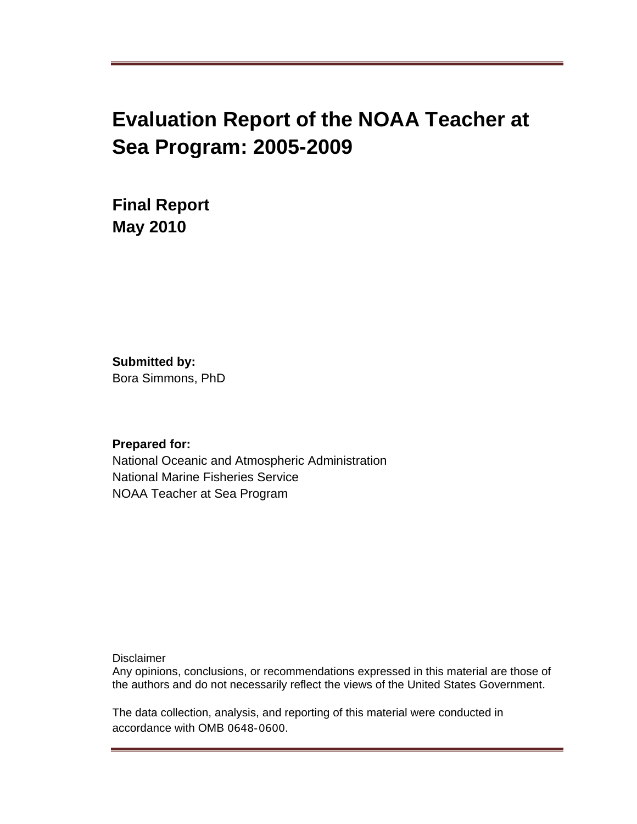# **Evaluation Report of the NOAA Teacher at Sea Program: 2005-2009**

**Final Report May 2010** 

**Submitted by:**  Bora Simmons, PhD

**Prepared for:** 

National Oceanic and Atmospheric Administration National Marine Fisheries Service NOAA Teacher at Sea Program

Disclaimer

Any opinions, conclusions, or recommendations expressed in this material are those of the authors and do not necessarily reflect the views of the United States Government.

The data collection, analysis, and reporting of this material were conducted in accordance with OMB 0648-0600.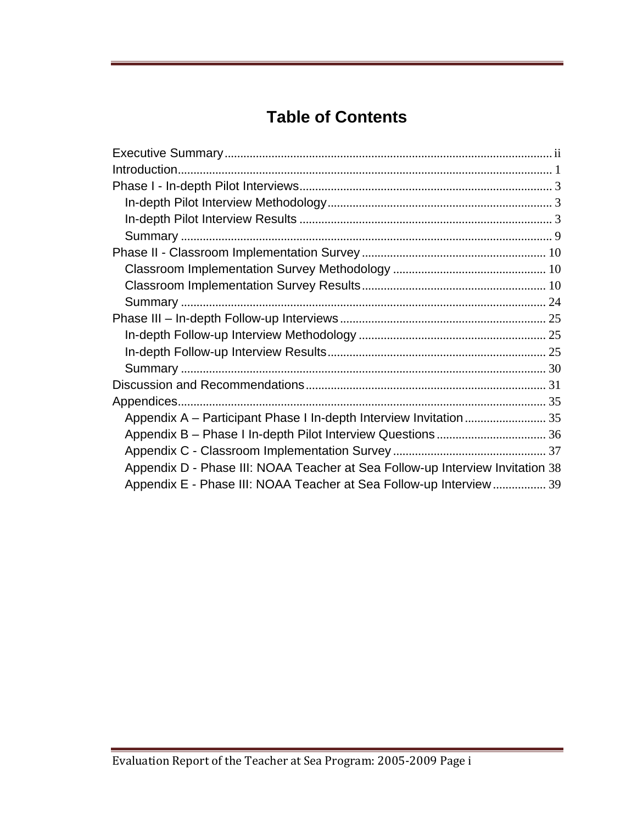# **Table of Contents**

| Appendix D - Phase III: NOAA Teacher at Sea Follow-up Interview Invitation 38 |  |
|-------------------------------------------------------------------------------|--|
| Appendix E - Phase III: NOAA Teacher at Sea Follow-up Interview 39            |  |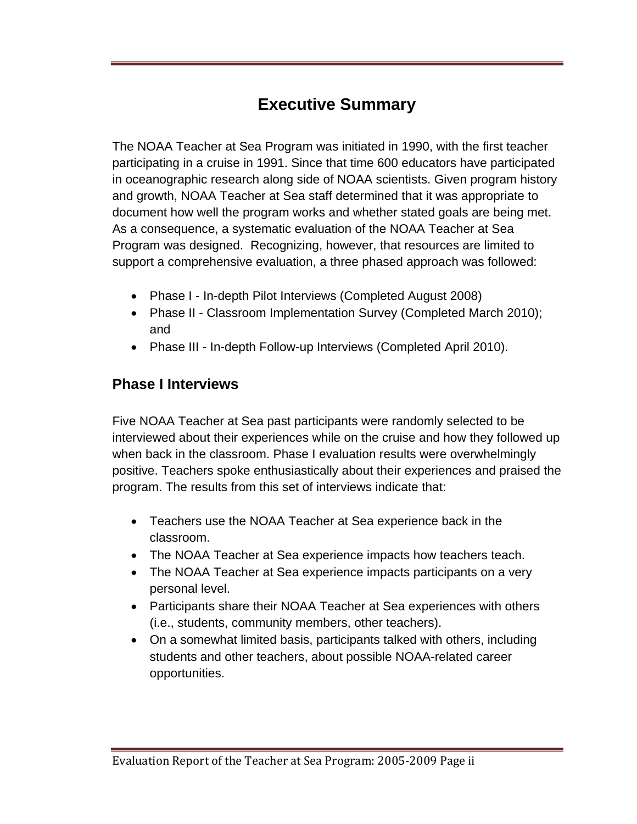# **Executive Summary**

<span id="page-2-0"></span>The NOAA Teacher at Sea Program was initiated in 1990, with the first teacher participating in a cruise in 1991. Since that time 600 educators have participated in oceanographic research along side of NOAA scientists. Given program history and growth, NOAA Teacher at Sea staff determined that it was appropriate to document how well the program works and whether stated goals are being met. As a consequence, a systematic evaluation of the NOAA Teacher at Sea Program was designed. Recognizing, however, that resources are limited to support a comprehensive evaluation, a three phased approach was followed:

- Phase I In-depth Pilot Interviews (Completed August 2008)
- Phase II Classroom Implementation Survey (Completed March 2010); and
- Phase III In-depth Follow-up Interviews (Completed April 2010).

# **Phase I Interviews**

Five NOAA Teacher at Sea past participants were randomly selected to be interviewed about their experiences while on the cruise and how they followed up when back in the classroom. Phase I evaluation results were overwhelmingly positive. Teachers spoke enthusiastically about their experiences and praised the program. The results from this set of interviews indicate that:

- Teachers use the NOAA Teacher at Sea experience back in the classroom.
- The NOAA Teacher at Sea experience impacts how teachers teach.
- The NOAA Teacher at Sea experience impacts participants on a very personal level.
- Participants share their NOAA Teacher at Sea experiences with others (i.e., students, community members, other teachers).
- On a somewhat limited basis, participants talked with others, including students and other teachers, about possible NOAA-related career opportunities.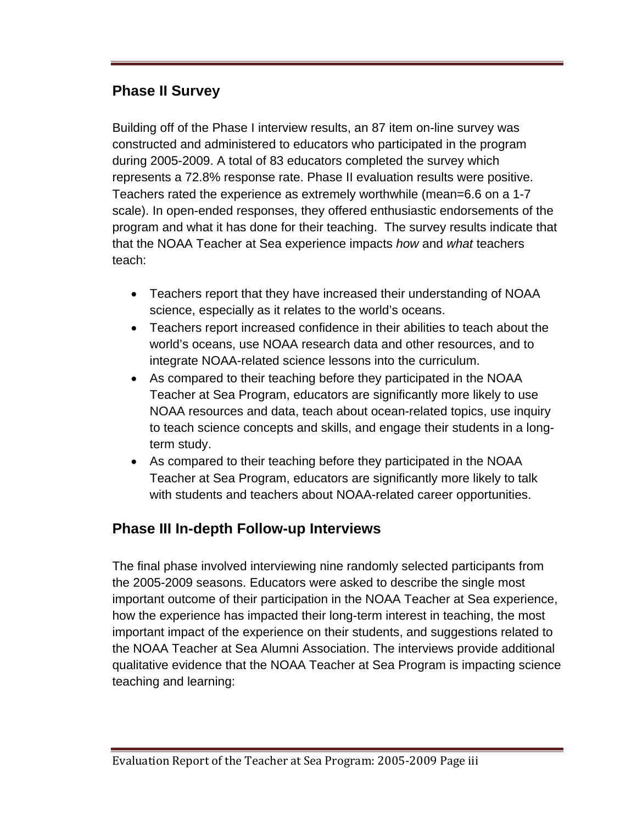# **Phase II Survey**

Building off of the Phase I interview results, an 87 item on-line survey was constructed and administered to educators who participated in the program during 2005-2009. A total of 83 educators completed the survey which represents a 72.8% response rate. Phase II evaluation results were positive. Teachers rated the experience as extremely worthwhile (mean=6.6 on a 1-7 scale). In open-ended responses, they offered enthusiastic endorsements of the program and what it has done for their teaching. The survey results indicate that that the NOAA Teacher at Sea experience impacts *how* and *what* teachers teach:

- Teachers report that they have increased their understanding of NOAA science, especially as it relates to the world's oceans.
- Teachers report increased confidence in their abilities to teach about the world's oceans, use NOAA research data and other resources, and to integrate NOAA-related science lessons into the curriculum.
- As compared to their teaching before they participated in the NOAA Teacher at Sea Program, educators are significantly more likely to use NOAA resources and data, teach about ocean-related topics, use inquiry to teach science concepts and skills, and engage their students in a longterm study.
- As compared to their teaching before they participated in the NOAA Teacher at Sea Program, educators are significantly more likely to talk with students and teachers about NOAA-related career opportunities.

# **Phase III In-depth Follow-up Interviews**

The final phase involved interviewing nine randomly selected participants from the 2005-2009 seasons. Educators were asked to describe the single most important outcome of their participation in the NOAA Teacher at Sea experience, how the experience has impacted their long-term interest in teaching, the most important impact of the experience on their students, and suggestions related to the NOAA Teacher at Sea Alumni Association. The interviews provide additional qualitative evidence that the NOAA Teacher at Sea Program is impacting science teaching and learning: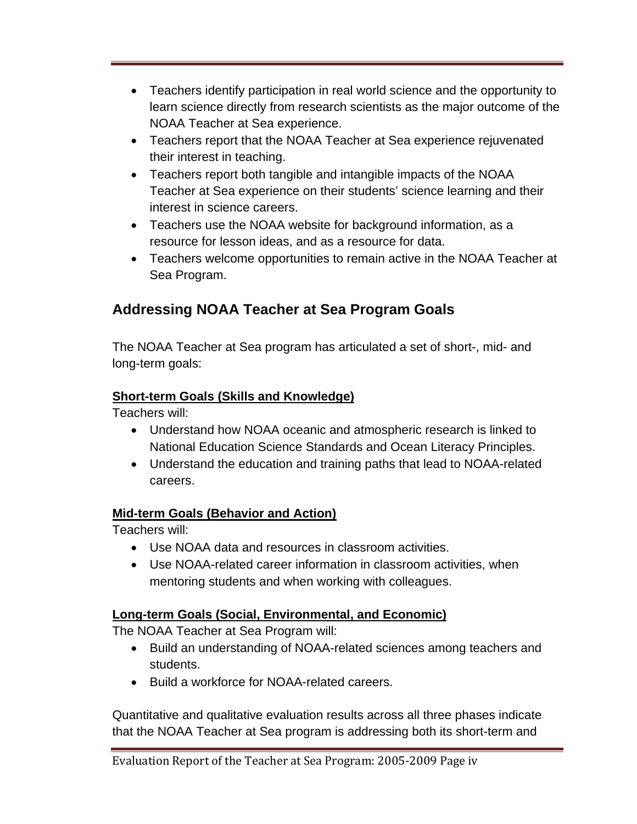- Teachers identify participation in real world science and the opportunity to learn science directly from research scientists as the major outcome of the NOAA Teacher at Sea experience.
- Teachers report that the NOAA Teacher at Sea experience rejuvenated their interest in teaching.
- Teachers report both tangible and intangible impacts of the NOAA Teacher at Sea experience on their students' science learning and their interest in science careers.
- Teachers use the NOAA website for background information, as a resource for lesson ideas, and as a resource for data.
- Teachers welcome opportunities to remain active in the NOAA Teacher at Sea Program.

# **Addressing NOAA Teacher at Sea Program Goals**

The NOAA Teacher at Sea program has articulated a set of short-, mid- and long-term goals:

# **Short-term Goals (Skills and Knowledge)**

Teachers will:

- Understand how NOAA oceanic and atmospheric research is linked to National Education Science Standards and Ocean Literacy Principles.
- Understand the education and training paths that lead to NOAA-related careers.

# **Mid-term Goals (Behavior and Action)**

Teachers will:

- Use NOAA data and resources in classroom activities.
- Use NOAA-related career information in classroom activities, when mentoring students and when working with colleagues.

# **Long-term Goals (Social, Environmental, and Economic)**

The NOAA Teacher at Sea Program will:

- Build an understanding of NOAA-related sciences among teachers and students.
- Build a workforce for NOAA-related careers.

Quantitative and qualitative evaluation results across all three phases indicate that the NOAA Teacher at Sea program is addressing both its short-term and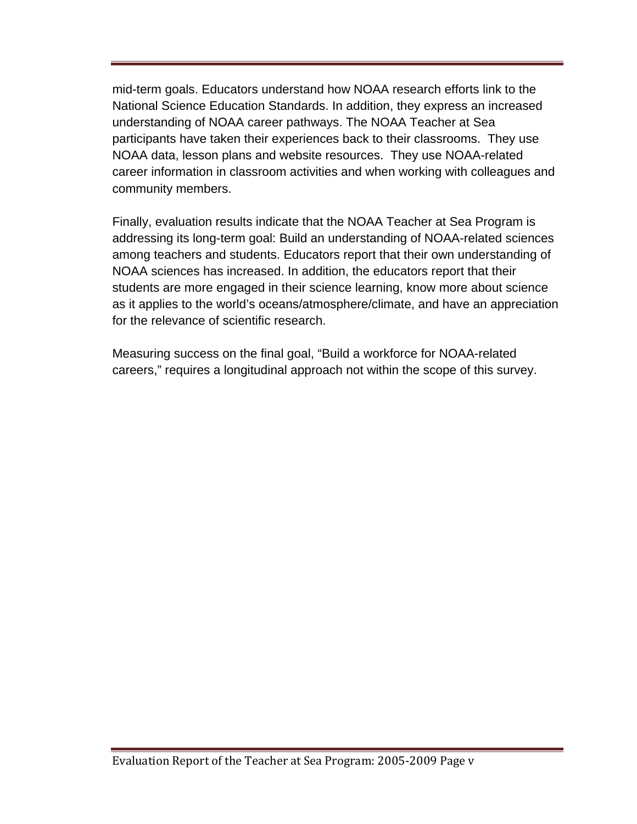mid-term goals. Educators understand how NOAA research efforts link to the National Science Education Standards. In addition, they express an increased understanding of NOAA career pathways. The NOAA Teacher at Sea participants have taken their experiences back to their classrooms. They use NOAA data, lesson plans and website resources. They use NOAA-related career information in classroom activities and when working with colleagues and community members.

Finally, evaluation results indicate that the NOAA Teacher at Sea Program is addressing its long-term goal: Build an understanding of NOAA-related sciences among teachers and students. Educators report that their own understanding of NOAA sciences has increased. In addition, the educators report that their students are more engaged in their science learning, know more about science as it applies to the world's oceans/atmosphere/climate, and have an appreciation for the relevance of scientific research.

Measuring success on the final goal, "Build a workforce for NOAA-related careers," requires a longitudinal approach not within the scope of this survey.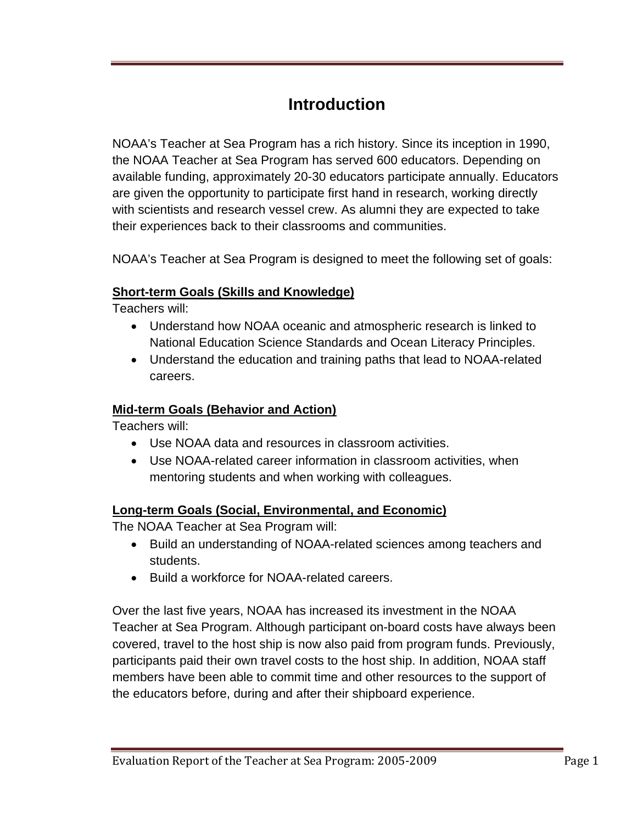# **Introduction**

<span id="page-6-0"></span>NOAA's Teacher at Sea Program has a rich history. Since its inception in 1990, the NOAA Teacher at Sea Program has served 600 educators. Depending on available funding, approximately 20-30 educators participate annually. Educators are given the opportunity to participate first hand in research, working directly with scientists and research vessel crew. As alumni they are expected to take their experiences back to their classrooms and communities.

NOAA's Teacher at Sea Program is designed to meet the following set of goals:

#### **Short-term Goals (Skills and Knowledge)**

Teachers will:

- Understand how NOAA oceanic and atmospheric research is linked to National Education Science Standards and Ocean Literacy Principles.
- Understand the education and training paths that lead to NOAA-related careers.

# **Mid-term Goals (Behavior and Action)**

Teachers will:

- Use NOAA data and resources in classroom activities.
- Use NOAA-related career information in classroom activities, when mentoring students and when working with colleagues.

# **Long-term Goals (Social, Environmental, and Economic)**

The NOAA Teacher at Sea Program will:

- Build an understanding of NOAA-related sciences among teachers and students.
- Build a workforce for NOAA-related careers.

Over the last five years, NOAA has increased its investment in the NOAA Teacher at Sea Program. Although participant on-board costs have always been covered, travel to the host ship is now also paid from program funds. Previously, participants paid their own travel costs to the host ship. In addition, NOAA staff members have been able to commit time and other resources to the support of the educators before, during and after their shipboard experience.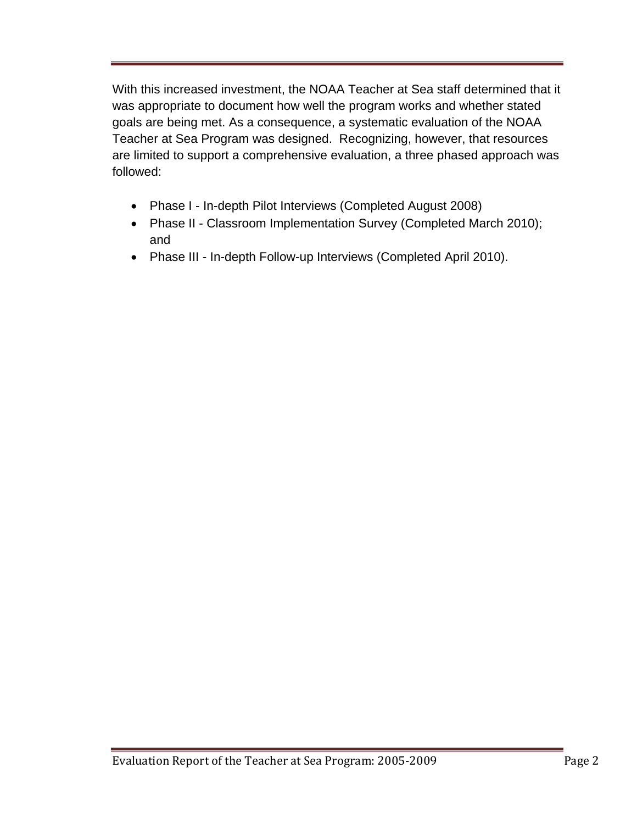With this increased investment, the NOAA Teacher at Sea staff determined that it was appropriate to document how well the program works and whether stated goals are being met. As a consequence, a systematic evaluation of the NOAA Teacher at Sea Program was designed. Recognizing, however, that resources are limited to support a comprehensive evaluation, a three phased approach was followed:

- Phase I In-depth Pilot Interviews (Completed August 2008)
- Phase II Classroom Implementation Survey (Completed March 2010); and
- Phase III In-depth Follow-up Interviews (Completed April 2010).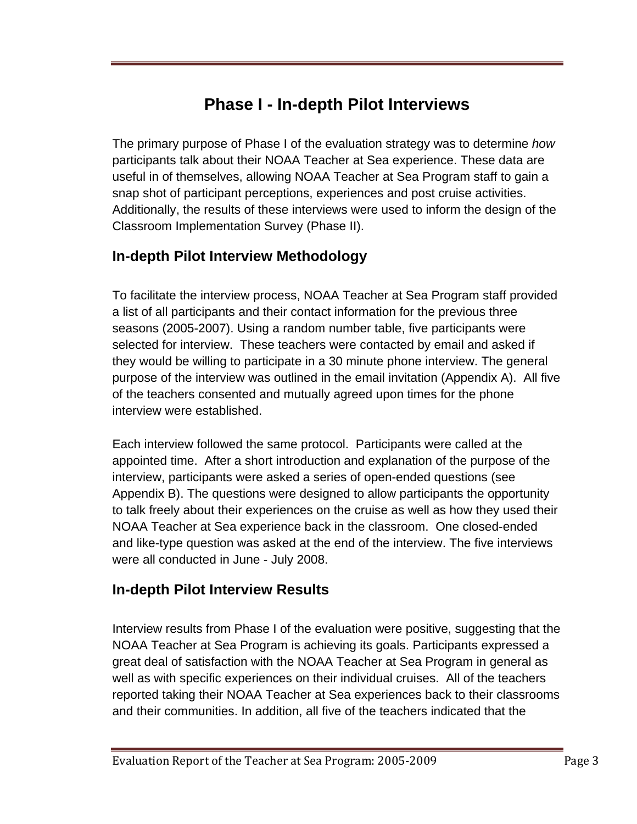# **Phase I - In-depth Pilot Interviews**

<span id="page-8-0"></span>The primary purpose of Phase I of the evaluation strategy was to determine *how*  participants talk about their NOAA Teacher at Sea experience. These data are useful in of themselves, allowing NOAA Teacher at Sea Program staff to gain a snap shot of participant perceptions, experiences and post cruise activities. Additionally, the results of these interviews were used to inform the design of the Classroom Implementation Survey (Phase II).

# **In-depth Pilot Interview Methodology**

To facilitate the interview process, NOAA Teacher at Sea Program staff provided a list of all participants and their contact information for the previous three seasons (2005-2007). Using a random number table, five participants were selected for interview. These teachers were contacted by email and asked if they would be willing to participate in a 30 minute phone interview. The general purpose of the interview was outlined in the email invitation (Appendix A). All five of the teachers consented and mutually agreed upon times for the phone interview were established.

Each interview followed the same protocol. Participants were called at the appointed time. After a short introduction and explanation of the purpose of the interview, participants were asked a series of open-ended questions (see Appendix B). The questions were designed to allow participants the opportunity to talk freely about their experiences on the cruise as well as how they used their NOAA Teacher at Sea experience back in the classroom. One closed-ended and like-type question was asked at the end of the interview. The five interviews were all conducted in June - July 2008.

# **In-depth Pilot Interview Results**

Interview results from Phase I of the evaluation were positive, suggesting that the NOAA Teacher at Sea Program is achieving its goals. Participants expressed a great deal of satisfaction with the NOAA Teacher at Sea Program in general as well as with specific experiences on their individual cruises. All of the teachers reported taking their NOAA Teacher at Sea experiences back to their classrooms and their communities. In addition, all five of the teachers indicated that the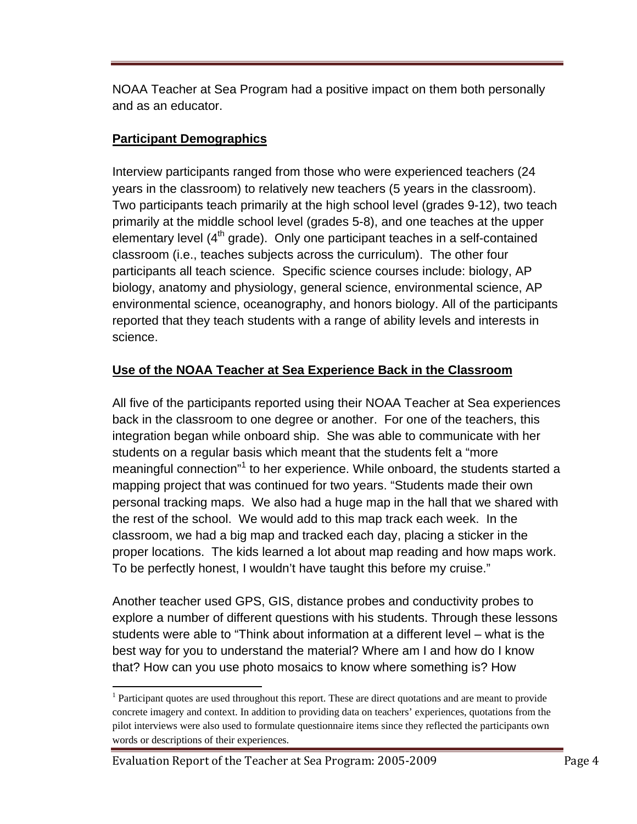NOAA Teacher at Sea Program had a positive impact on them both personally and as an educator.

# **Participant Demographics**

Interview participants ranged from those who were experienced teachers (24 years in the classroom) to relatively new teachers (5 years in the classroom). Two participants teach primarily at the high school level (grades 9-12), two teach primarily at the middle school level (grades 5-8), and one teaches at the upper elementary level  $(4<sup>th</sup>$  grade). Only one participant teaches in a self-contained classroom (i.e., teaches subjects across the curriculum). The other four participants all teach science. Specific science courses include: biology, AP biology, anatomy and physiology, general science, environmental science, AP environmental science, oceanography, and honors biology. All of the participants reported that they teach students with a range of ability levels and interests in science.

# **Use of the NOAA Teacher at Sea Experience Back in the Classroom**

All five of the participants reported using their NOAA Teacher at Sea experiences back in the classroom to one degree or another. For one of the teachers, this integration began while onboard ship. She was able to communicate with her students on a regular basis which meant that the students felt a "more meaningful connection"<sup>1</sup> to her experience. While onboard, the students started a mapping project that was continued for two years. "Students made their own personal tracking maps. We also had a huge map in the hall that we shared with the rest of the school. We would add to this map track each week. In the classroom, we had a big map and tracked each day, placing a sticker in the proper locations. The kids learned a lot about map reading and how maps work. To be perfectly honest, I wouldn't have taught this before my cruise."

Another teacher used GPS, GIS, distance probes and conductivity probes to explore a number of different questions with his students. Through these lessons students were able to "Think about information at a different level – what is the best way for you to understand the material? Where am I and how do I know that? How can you use photo mosaics to know where something is? How

Evaluation Report of the Teacher at Sea Program: 2005-2009 Page 4

 $\overline{a}$ 

 words or descriptions of their experiences. <sup>1</sup> Participant quotes are used throughout this report. These are direct quotations and are meant to provide concrete imagery and context. In addition to providing data on teachers' experiences, quotations from the pilot interviews were also used to formulate questionnaire items since they reflected the participants own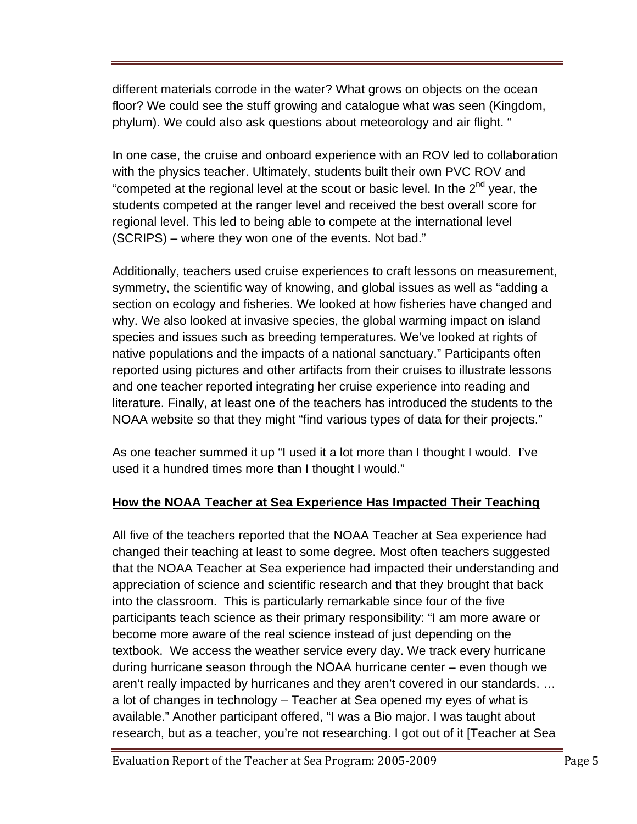different materials corrode in the water? What grows on objects on the ocean floor? We could see the stuff growing and catalogue what was seen (Kingdom, phylum). We could also ask questions about meteorology and air flight. "

In one case, the cruise and onboard experience with an ROV led to collaboration with the physics teacher. Ultimately, students built their own PVC ROV and "competed at the regional level at the scout or basic level. In the  $2<sup>nd</sup>$  year, the students competed at the ranger level and received the best overall score for regional level. This led to being able to compete at the international level (SCRIPS) – where they won one of the events. Not bad."

Additionally, teachers used cruise experiences to craft lessons on measurement, symmetry, the scientific way of knowing, and global issues as well as "adding a section on ecology and fisheries. We looked at how fisheries have changed and why. We also looked at invasive species, the global warming impact on island species and issues such as breeding temperatures. We've looked at rights of native populations and the impacts of a national sanctuary." Participants often reported using pictures and other artifacts from their cruises to illustrate lessons and one teacher reported integrating her cruise experience into reading and literature. Finally, at least one of the teachers has introduced the students to the NOAA website so that they might "find various types of data for their projects."

As one teacher summed it up "I used it a lot more than I thought I would. I've used it a hundred times more than I thought I would."

# **How the NOAA Teacher at Sea Experience Has Impacted Their Teaching**

All five of the teachers reported that the NOAA Teacher at Sea experience had changed their teaching at least to some degree. Most often teachers suggested that the NOAA Teacher at Sea experience had impacted their understanding and appreciation of science and scientific research and that they brought that back into the classroom. This is particularly remarkable since four of the five participants teach science as their primary responsibility: "I am more aware or become more aware of the real science instead of just depending on the textbook. We access the weather service every day. We track every hurricane during hurricane season through the NOAA hurricane center – even though we aren't really impacted by hurricanes and they aren't covered in our standards. … a lot of changes in technology – Teacher at Sea opened my eyes of what is available." Another participant offered, "I was a Bio major. I was taught about research, but as a teacher, you're not researching. I got out of it [Teacher at Sea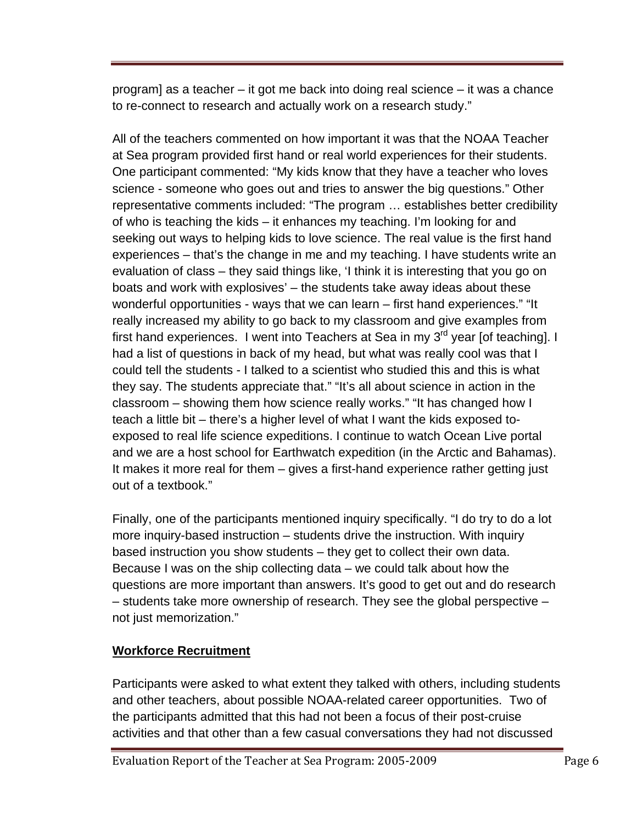program] as a teacher – it got me back into doing real science – it was a chance to re-connect to research and actually work on a research study."

All of the teachers commented on how important it was that the NOAA Teacher at Sea program provided first hand or real world experiences for their students. One participant commented: "My kids know that they have a teacher who loves science - someone who goes out and tries to answer the big questions." Other representative comments included: "The program … establishes better credibility of who is teaching the kids – it enhances my teaching. I'm looking for and seeking out ways to helping kids to love science. The real value is the first hand experiences – that's the change in me and my teaching. I have students write an evaluation of class – they said things like, 'I think it is interesting that you go on boats and work with explosives' – the students take away ideas about these wonderful opportunities - ways that we can learn – first hand experiences." "It really increased my ability to go back to my classroom and give examples from first hand experiences. I went into Teachers at Sea in my  $3<sup>rd</sup>$  year [of teaching]. I had a list of questions in back of my head, but what was really cool was that I could tell the students - I talked to a scientist who studied this and this is what they say. The students appreciate that." "It's all about science in action in the classroom – showing them how science really works." "It has changed how I teach a little bit – there's a higher level of what I want the kids exposed toexposed to real life science expeditions. I continue to watch Ocean Live portal and we are a host school for Earthwatch expedition (in the Arctic and Bahamas). It makes it more real for them – gives a first-hand experience rather getting just out of a textbook."

Finally, one of the participants mentioned inquiry specifically. "I do try to do a lot more inquiry-based instruction – students drive the instruction. With inquiry based instruction you show students – they get to collect their own data. Because I was on the ship collecting data – we could talk about how the questions are more important than answers. It's good to get out and do research – students take more ownership of research. They see the global perspective – not just memorization."

#### **Workforce Recruitment**

Participants were asked to what extent they talked with others, including students and other teachers, about possible NOAA-related career opportunities. Two of the participants admitted that this had not been a focus of their post-cruise activities and that other than a few casual conversations they had not discussed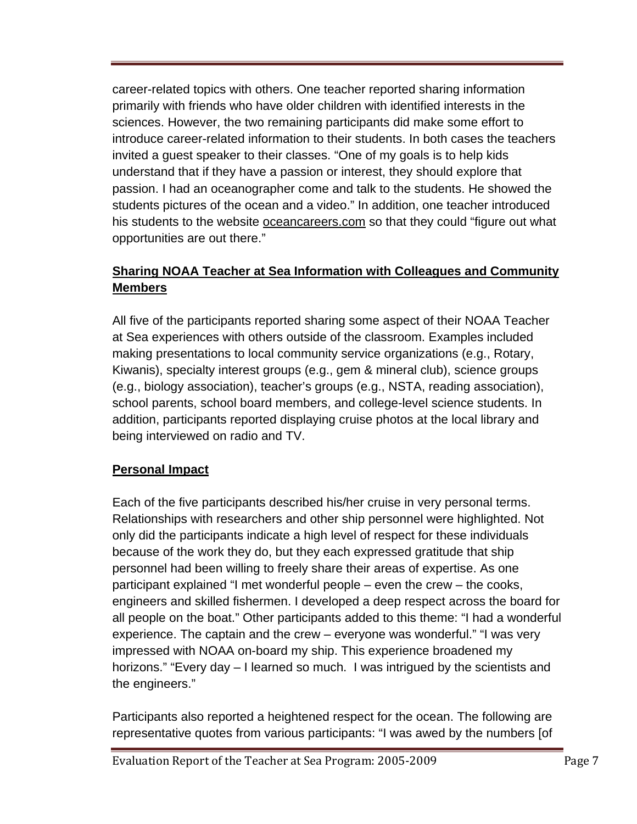career-related topics with others. One teacher reported sharing information primarily with friends who have older children with identified interests in the sciences. However, the two remaining participants did make some effort to introduce career-related information to their students. In both cases the teachers invited a guest speaker to their classes. "One of my goals is to help kids understand that if they have a passion or interest, they should explore that passion. I had an oceanographer come and talk to the students. He showed the students pictures of the ocean and a video." In addition, one teacher introduced his students to the website oceancareers.com so that they could "figure out what opportunities are out there."

# **Sharing NOAA Teacher at Sea Information with Colleagues and Community Members**

All five of the participants reported sharing some aspect of their NOAA Teacher at Sea experiences with others outside of the classroom. Examples included making presentations to local community service organizations (e.g., Rotary, Kiwanis), specialty interest groups (e.g., gem & mineral club), science groups (e.g., biology association), teacher's groups (e.g., NSTA, reading association), school parents, school board members, and college-level science students. In addition, participants reported displaying cruise photos at the local library and being interviewed on radio and TV.

# **Personal Impact**

Each of the five participants described his/her cruise in very personal terms. Relationships with researchers and other ship personnel were highlighted. Not only did the participants indicate a high level of respect for these individuals because of the work they do, but they each expressed gratitude that ship personnel had been willing to freely share their areas of expertise. As one participant explained "I met wonderful people – even the crew – the cooks, engineers and skilled fishermen. I developed a deep respect across the board for all people on the boat." Other participants added to this theme: "I had a wonderful experience. The captain and the crew – everyone was wonderful." "I was very impressed with NOAA on-board my ship. This experience broadened my horizons." "Every day – I learned so much. I was intrigued by the scientists and the engineers."

Participants also reported a heightened respect for the ocean. The following are representative quotes from various participants: "I was awed by the numbers [of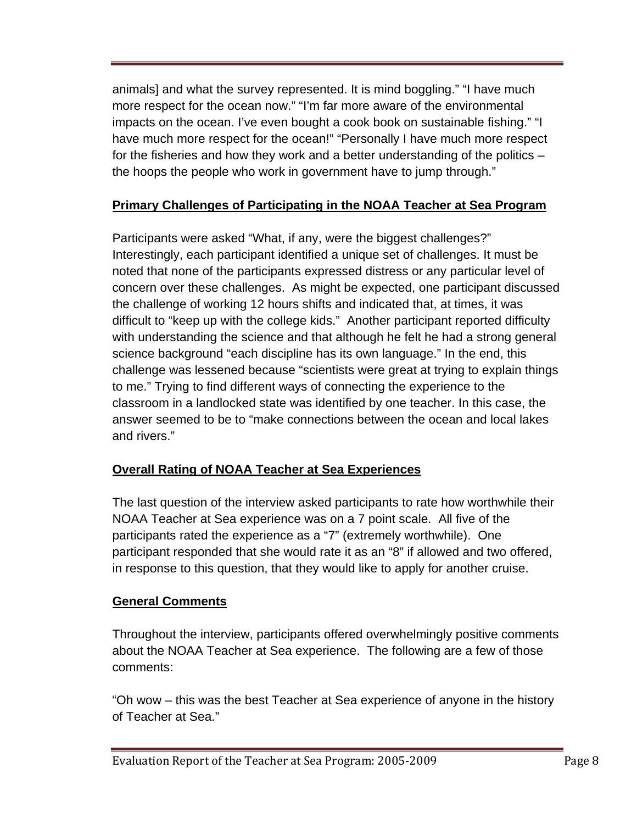animals] and what the survey represented. It is mind boggling." "I have much more respect for the ocean now." "I'm far more aware of the environmental impacts on the ocean. I've even bought a cook book on sustainable fishing." "I have much more respect for the ocean!" "Personally I have much more respect for the fisheries and how they work and a better understanding of the politics – the hoops the people who work in government have to jump through."

# **Primary Challenges of Participating in the NOAA Teacher at Sea Program**

Participants were asked "What, if any, were the biggest challenges?" Interestingly, each participant identified a unique set of challenges. It must be noted that none of the participants expressed distress or any particular level of concern over these challenges. As might be expected, one participant discussed the challenge of working 12 hours shifts and indicated that, at times, it was difficult to "keep up with the college kids." Another participant reported difficulty with understanding the science and that although he felt he had a strong general science background "each discipline has its own language." In the end, this challenge was lessened because "scientists were great at trying to explain things to me." Trying to find different ways of connecting the experience to the classroom in a landlocked state was identified by one teacher. In this case, the answer seemed to be to "make connections between the ocean and local lakes and rivers."

# **Overall Rating of NOAA Teacher at Sea Experiences**

The last question of the interview asked participants to rate how worthwhile their NOAA Teacher at Sea experience was on a 7 point scale. All five of the participants rated the experience as a "7" (extremely worthwhile). One participant responded that she would rate it as an "8" if allowed and two offered, in response to this question, that they would like to apply for another cruise.

#### **General Comments**

Throughout the interview, participants offered overwhelmingly positive comments about the NOAA Teacher at Sea experience. The following are a few of those comments:

"Oh wow – this was the best Teacher at Sea experience of anyone in the history of Teacher at Sea."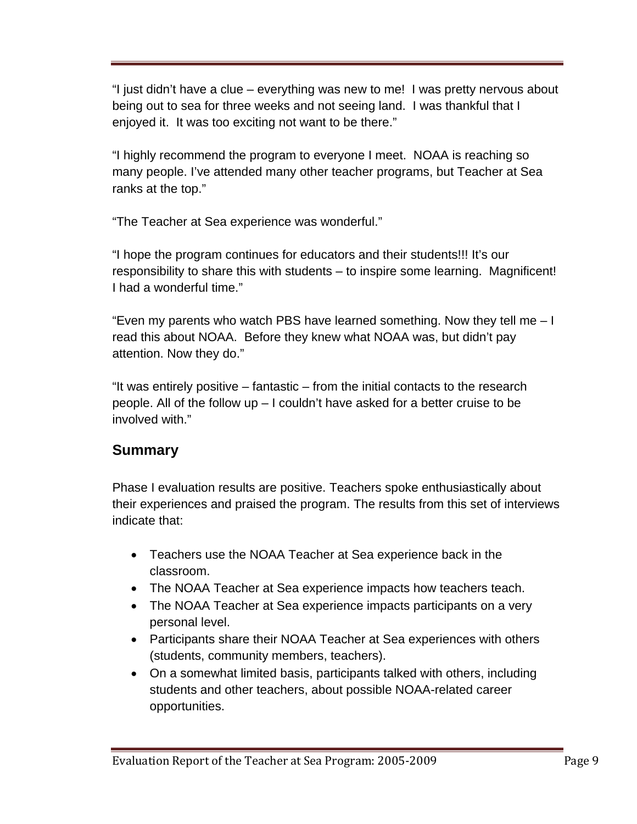<span id="page-14-0"></span>"I just didn't have a clue – everything was new to me! I was pretty nervous about being out to sea for three weeks and not seeing land. I was thankful that I enjoyed it. It was too exciting not want to be there."

"I highly recommend the program to everyone I meet. NOAA is reaching so many people. I've attended many other teacher programs, but Teacher at Sea ranks at the top."

"The Teacher at Sea experience was wonderful."

"I hope the program continues for educators and their students!!! It's our responsibility to share this with students – to inspire some learning. Magnificent! I had a wonderful time."

"Even my parents who watch PBS have learned something. Now they tell me  $-1$ read this about NOAA. Before they knew what NOAA was, but didn't pay attention. Now they do."

"It was entirely positive – fantastic – from the initial contacts to the research people. All of the follow up – I couldn't have asked for a better cruise to be involved with."

# **Summary**

Phase I evaluation results are positive. Teachers spoke enthusiastically about their experiences and praised the program. The results from this set of interviews indicate that:

- Teachers use the NOAA Teacher at Sea experience back in the classroom.
- The NOAA Teacher at Sea experience impacts how teachers teach.
- The NOAA Teacher at Sea experience impacts participants on a very personal level.
- Participants share their NOAA Teacher at Sea experiences with others (students, community members, teachers).
- On a somewhat limited basis, participants talked with others, including students and other teachers, about possible NOAA-related career opportunities.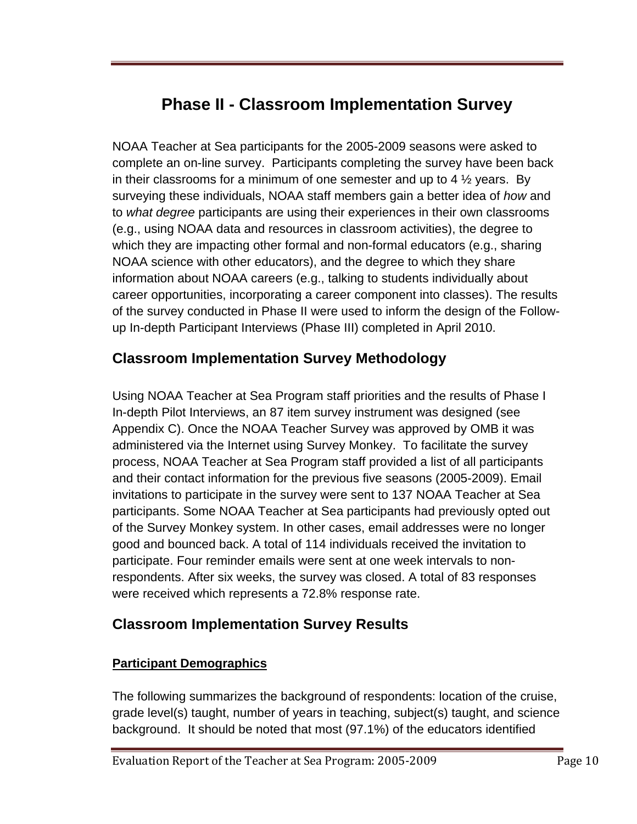# **Phase II - Classroom Implementation Survey**

<span id="page-15-0"></span>NOAA Teacher at Sea participants for the 2005-2009 seasons were asked to complete an on-line survey. Participants completing the survey have been back in their classrooms for a minimum of one semester and up to 4  $\frac{1}{2}$  years. By surveying these individuals, NOAA staff members gain a better idea of *how* and to *what degree* participants are using their experiences in their own classrooms (e.g., using NOAA data and resources in classroom activities), the degree to which they are impacting other formal and non-formal educators (e.g., sharing NOAA science with other educators), and the degree to which they share information about NOAA careers (e.g., talking to students individually about career opportunities, incorporating a career component into classes). The results of the survey conducted in Phase II were used to inform the design of the Followup In-depth Participant Interviews (Phase III) completed in April 2010.

# **Classroom Implementation Survey Methodology**

Using NOAA Teacher at Sea Program staff priorities and the results of Phase I In-depth Pilot Interviews, an 87 item survey instrument was designed (see Appendix C). Once the NOAA Teacher Survey was approved by OMB it was administered via the Internet using Survey Monkey. To facilitate the survey process, NOAA Teacher at Sea Program staff provided a list of all participants and their contact information for the previous five seasons (2005-2009). Email invitations to participate in the survey were sent to 137 NOAA Teacher at Sea participants. Some NOAA Teacher at Sea participants had previously opted out of the Survey Monkey system. In other cases, email addresses were no longer good and bounced back. A total of 114 individuals received the invitation to participate. Four reminder emails were sent at one week intervals to nonrespondents. After six weeks, the survey was closed. A total of 83 responses were received which represents a 72.8% response rate.

# **Classroom Implementation Survey Results**

# **Participant Demographics**

The following summarizes the background of respondents: location of the cruise, grade level(s) taught, number of years in teaching, subject(s) taught, and science background. It should be noted that most (97.1%) of the educators identified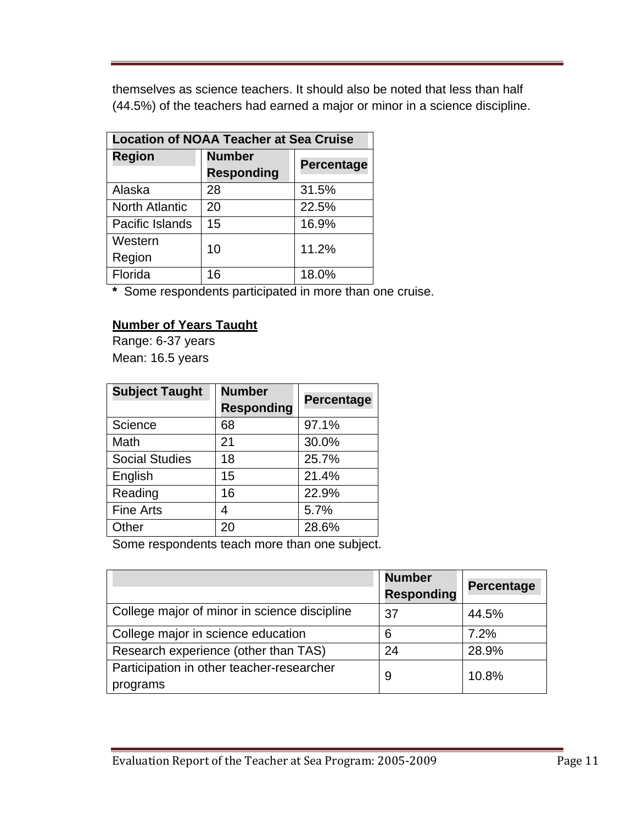themselves as science teachers. It should also be noted that less than half (44.5%) of the teachers had earned a major or minor in a science discipline.

| <b>Location of NOAA Teacher at Sea Cruise</b> |                   |            |  |
|-----------------------------------------------|-------------------|------------|--|
| <b>Region</b>                                 | <b>Number</b>     | Percentage |  |
|                                               | <b>Responding</b> |            |  |
| Alaska                                        | 28                | 31.5%      |  |
| <b>North Atlantic</b>                         | 20                | 22.5%      |  |
| Pacific Islands                               | 15                | 16.9%      |  |
| Western                                       | 10                | 11.2%      |  |
| Region                                        |                   |            |  |
| Florida                                       | 16                | 18.0%      |  |

**\*** Some respondents participated in more than one cruise.

#### **Number of Years Taught**

Range: 6-37 years Mean: 16.5 years

| <b>Subject Taught</b> | <b>Number</b>     | Percentage |
|-----------------------|-------------------|------------|
|                       | <b>Responding</b> |            |
| Science               | 68                | 97.1%      |
| Math                  | 21                | 30.0%      |
| <b>Social Studies</b> | 18                | 25.7%      |
| English               | 15                | 21.4%      |
| Reading               | 16                | 22.9%      |
| <b>Fine Arts</b>      | 4                 | 5.7%       |
| Other                 | 20                | 28.6%      |

Some respondents teach more than one subject.

|                                                       | <b>Number</b><br><b>Responding</b> | <b>Percentage</b> |
|-------------------------------------------------------|------------------------------------|-------------------|
| College major of minor in science discipline          | 37                                 | 44.5%             |
| College major in science education                    | 6                                  | 7.2%              |
| Research experience (other than TAS)                  | 24                                 | 28.9%             |
| Participation in other teacher-researcher<br>programs | 9                                  | 10.8%             |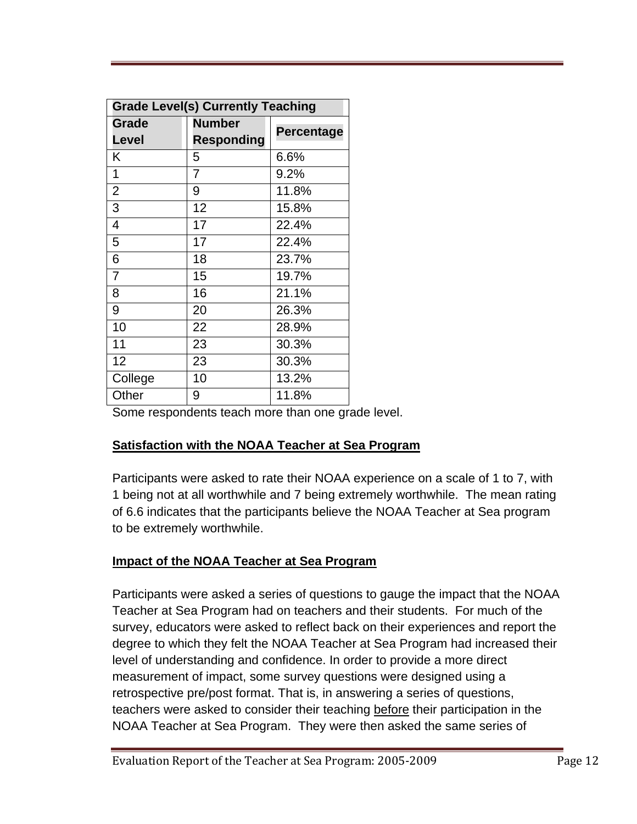| <b>Grade Level(s) Currently Teaching</b> |                   |                   |  |
|------------------------------------------|-------------------|-------------------|--|
| Grade                                    | <b>Number</b>     | <b>Percentage</b> |  |
| Level                                    | <b>Responding</b> |                   |  |
| Κ                                        | 5                 | 6.6%              |  |
| $\mathbf{1}$                             | 7                 | 9.2%              |  |
| $\overline{2}$                           | 9                 | 11.8%             |  |
| 3                                        | 12                | 15.8%             |  |
| $\overline{4}$                           | 17                | 22.4%             |  |
| 5                                        | 17                | 22.4%             |  |
| 6                                        | 18                | 23.7%             |  |
| $\overline{7}$                           | 15                | 19.7%             |  |
| 8                                        | 16                | 21.1%             |  |
| 9                                        | 20                | 26.3%             |  |
| 10                                       | 22                | 28.9%             |  |
| 11                                       | 23                | 30.3%             |  |
| 12                                       | 23                | 30.3%             |  |
| College                                  | 10                | 13.2%             |  |
| Other                                    | 9                 | 11.8%             |  |

Some respondents teach more than one grade level.

# **Satisfaction with the NOAA Teacher at Sea Program**

Participants were asked to rate their NOAA experience on a scale of 1 to 7, with 1 being not at all worthwhile and 7 being extremely worthwhile. The mean rating of 6.6 indicates that the participants believe the NOAA Teacher at Sea program to be extremely worthwhile.

# **Impact of the NOAA Teacher at Sea Program**

Participants were asked a series of questions to gauge the impact that the NOAA Teacher at Sea Program had on teachers and their students. For much of the survey, educators were asked to reflect back on their experiences and report the degree to which they felt the NOAA Teacher at Sea Program had increased their level of understanding and confidence. In order to provide a more direct measurement of impact, some survey questions were designed using a retrospective pre/post format. That is, in answering a series of questions, teachers were asked to consider their teaching before their participation in the NOAA Teacher at Sea Program. They were then asked the same series of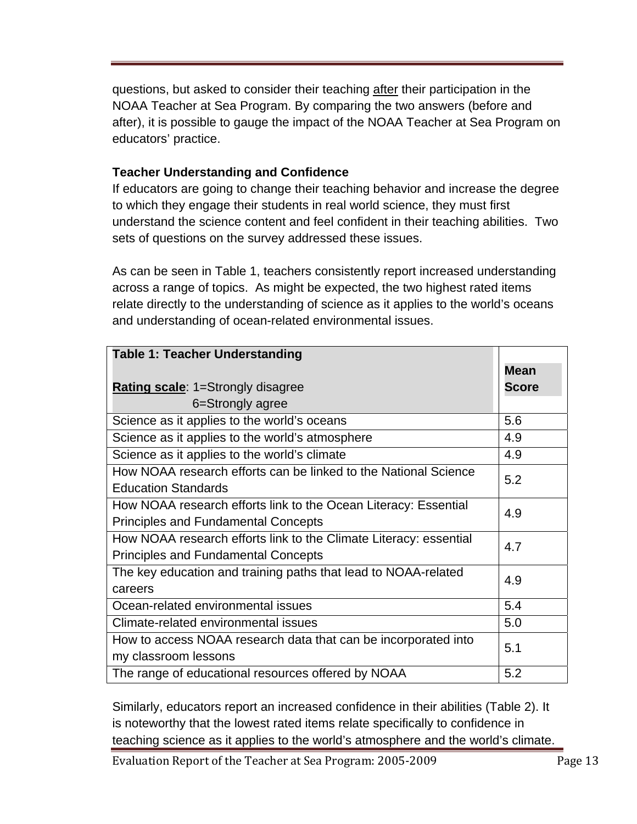questions, but asked to consider their teaching after their participation in the NOAA Teacher at Sea Program. By comparing the two answers (before and after), it is possible to gauge the impact of the NOAA Teacher at Sea Program on educators' practice.

#### **Teacher Understanding and Confidence**

If educators are going to change their teaching behavior and increase the degree to which they engage their students in real world science, they must first understand the science content and feel confident in their teaching abilities. Two sets of questions on the survey addressed these issues.

As can be seen in Table 1, teachers consistently report increased understanding across a range of topics. As might be expected, the two highest rated items relate directly to the understanding of science as it applies to the world's oceans and understanding of ocean-related environmental issues.

| <b>Table 1: Teacher Understanding</b>                             |              |
|-------------------------------------------------------------------|--------------|
|                                                                   | <b>Mean</b>  |
| <b>Rating scale: 1=Strongly disagree</b>                          | <b>Score</b> |
| 6=Strongly agree                                                  |              |
| Science as it applies to the world's oceans                       | 5.6          |
| Science as it applies to the world's atmosphere                   | 4.9          |
| Science as it applies to the world's climate                      | 4.9          |
| How NOAA research efforts can be linked to the National Science   | 5.2          |
| <b>Education Standards</b>                                        |              |
| How NOAA research efforts link to the Ocean Literacy: Essential   | 4.9          |
| <b>Principles and Fundamental Concepts</b>                        |              |
| How NOAA research efforts link to the Climate Literacy: essential | 4.7          |
| <b>Principles and Fundamental Concepts</b>                        |              |
| The key education and training paths that lead to NOAA-related    | 4.9          |
| careers                                                           |              |
| Ocean-related environmental issues                                | 5.4          |
| Climate-related environmental issues                              | 5.0          |
| How to access NOAA research data that can be incorporated into    | 5.1          |
| my classroom lessons                                              |              |
| The range of educational resources offered by NOAA                | 5.2          |

Similarly, educators report an increased confidence in their abilities (Table 2). It is noteworthy that the lowest rated items relate specifically to confidence in teaching science as it applies to the world's atmosphere and the world's climate.

Evaluation Report of the Teacher at Sea Program: 2005-2009 Page 13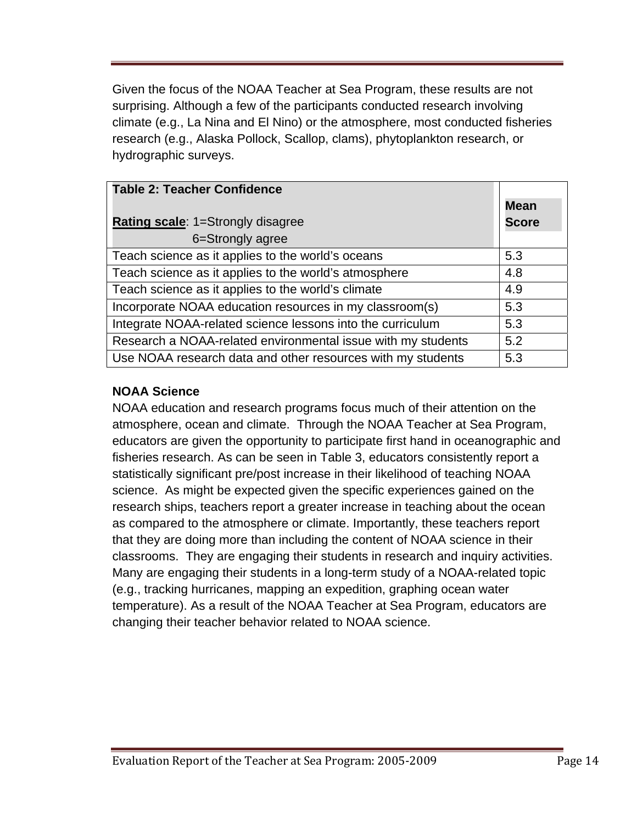Given the focus of the NOAA Teacher at Sea Program, these results are not surprising. Although a few of the participants conducted research involving climate (e.g., La Nina and El Nino) or the atmosphere, most conducted fisheries research (e.g., Alaska Pollock, Scallop, clams), phytoplankton research, or hydrographic surveys.

| <b>Table 2: Teacher Confidence</b>                           |              |
|--------------------------------------------------------------|--------------|
|                                                              | <b>Mean</b>  |
| <b>Rating scale: 1=Strongly disagree</b>                     | <b>Score</b> |
| 6=Strongly agree                                             |              |
| Teach science as it applies to the world's oceans            | 5.3          |
| Teach science as it applies to the world's atmosphere        | 4.8          |
| Teach science as it applies to the world's climate           | 4.9          |
| Incorporate NOAA education resources in my classroom(s)      | 5.3          |
| Integrate NOAA-related science lessons into the curriculum   | 5.3          |
| Research a NOAA-related environmental issue with my students | 5.2          |
| Use NOAA research data and other resources with my students  | 5.3          |

#### **NOAA Science**

NOAA education and research programs focus much of their attention on the atmosphere, ocean and climate. Through the NOAA Teacher at Sea Program, educators are given the opportunity to participate first hand in oceanographic and fisheries research. As can be seen in Table 3, educators consistently report a statistically significant pre/post increase in their likelihood of teaching NOAA science. As might be expected given the specific experiences gained on the research ships, teachers report a greater increase in teaching about the ocean as compared to the atmosphere or climate. Importantly, these teachers report that they are doing more than including the content of NOAA science in their classrooms. They are engaging their students in research and inquiry activities. Many are engaging their students in a long-term study of a NOAA-related topic (e.g., tracking hurricanes, mapping an expedition, graphing ocean water temperature). As a result of the NOAA Teacher at Sea Program, educators are changing their teacher behavior related to NOAA science.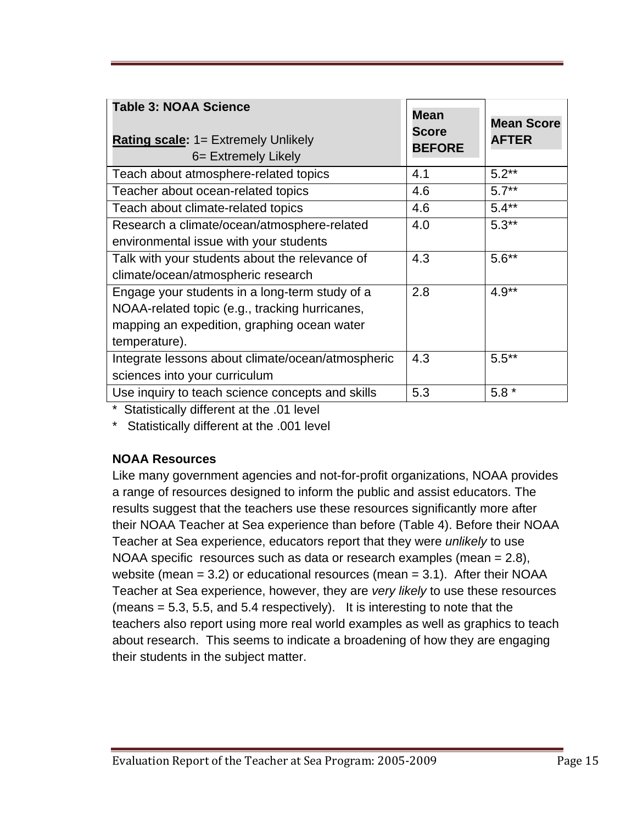| <b>Table 3: NOAA Science</b><br><b>Rating scale: 1= Extremely Unlikely</b><br>6= Extremely Likely | <b>Mean</b><br><b>Score</b><br><b>BEFORE</b> | <b>Mean Score</b><br><b>AFTER</b> |
|---------------------------------------------------------------------------------------------------|----------------------------------------------|-----------------------------------|
| Teach about atmosphere-related topics                                                             | 4.1                                          | $5.2**$                           |
| Teacher about ocean-related topics                                                                | 4.6                                          | $5.7**$                           |
| Teach about climate-related topics                                                                | 4.6                                          | $5.4**$                           |
| Research a climate/ocean/atmosphere-related                                                       | 4.0                                          | $5.3**$                           |
| environmental issue with your students                                                            |                                              |                                   |
| Talk with your students about the relevance of                                                    | 4.3                                          | $5.6**$                           |
| climate/ocean/atmospheric research                                                                |                                              |                                   |
| Engage your students in a long-term study of a                                                    | 2.8                                          | $4.9**$                           |
| NOAA-related topic (e.g., tracking hurricanes,                                                    |                                              |                                   |
| mapping an expedition, graphing ocean water                                                       |                                              |                                   |
| temperature).                                                                                     |                                              |                                   |
| Integrate lessons about climate/ocean/atmospheric                                                 | 4.3                                          | $5.5***$                          |
| sciences into your curriculum                                                                     |                                              |                                   |
| Use inquiry to teach science concepts and skills                                                  | 5.3                                          | $5.8*$                            |

\* Statistically different at the .01 level

\* Statistically different at the .001 level

# **NOAA Resources**

Like many government agencies and not-for-profit organizations, NOAA provides a range of resources designed to inform the public and assist educators. The results suggest that the teachers use these resources significantly more after their NOAA Teacher at Sea experience than before (Table 4). Before their NOAA Teacher at Sea experience, educators report that they were *unlikely* to use NOAA specific resources such as data or research examples (mean = 2.8), website (mean  $= 3.2$ ) or educational resources (mean  $= 3.1$ ). After their NOAA Teacher at Sea experience, however, they are *very likely* to use these resources (means  $= 5.3, 5.5,$  and  $5.4$  respectively). It is interesting to note that the teachers also report using more real world examples as well as graphics to teach about research. This seems to indicate a broadening of how they are engaging their students in the subject matter.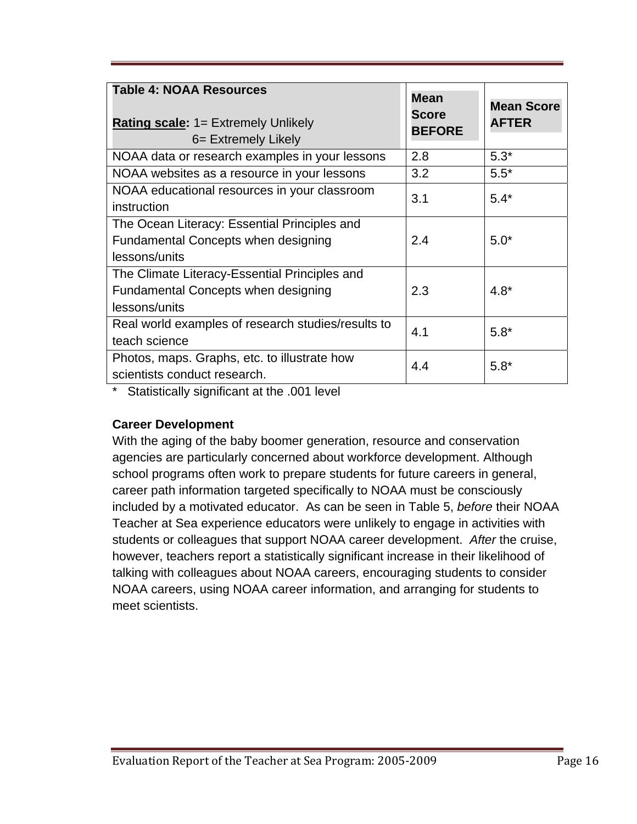| <b>Table 4: NOAA Resources</b><br><b>Rating scale: 1= Extremely Unlikely</b><br>6= Extremely Likely          | <b>Mean</b><br><b>Score</b><br><b>BEFORE</b> | <b>Mean Score</b><br><b>AFTER</b> |
|--------------------------------------------------------------------------------------------------------------|----------------------------------------------|-----------------------------------|
| NOAA data or research examples in your lessons                                                               | 2.8                                          | $5.3*$                            |
| NOAA websites as a resource in your lessons                                                                  | 3.2                                          | $5.5*$                            |
| NOAA educational resources in your classroom<br>instruction                                                  | 3.1                                          | $5.4*$                            |
| The Ocean Literacy: Essential Principles and<br><b>Fundamental Concepts when designing</b><br>lessons/units  | 2.4                                          | $5.0*$                            |
| The Climate Literacy-Essential Principles and<br><b>Fundamental Concepts when designing</b><br>lessons/units | 2.3                                          | $4.8*$                            |
| Real world examples of research studies/results to<br>teach science                                          | 4.1                                          | $5.8*$                            |
| Photos, maps. Graphs, etc. to illustrate how<br>scientists conduct research.                                 | 4.4                                          | $5.8*$                            |

\* Statistically significant at the .001 level

#### **Career Development**

With the aging of the baby boomer generation, resource and conservation agencies are particularly concerned about workforce development. Although school programs often work to prepare students for future careers in general, career path information targeted specifically to NOAA must be consciously included by a motivated educator. As can be seen in Table 5, *before* their NOAA Teacher at Sea experience educators were unlikely to engage in activities with students or colleagues that support NOAA career development. *After* the cruise, however, teachers report a statistically significant increase in their likelihood of talking with colleagues about NOAA careers, encouraging students to consider NOAA careers, using NOAA career information, and arranging for students to meet scientists.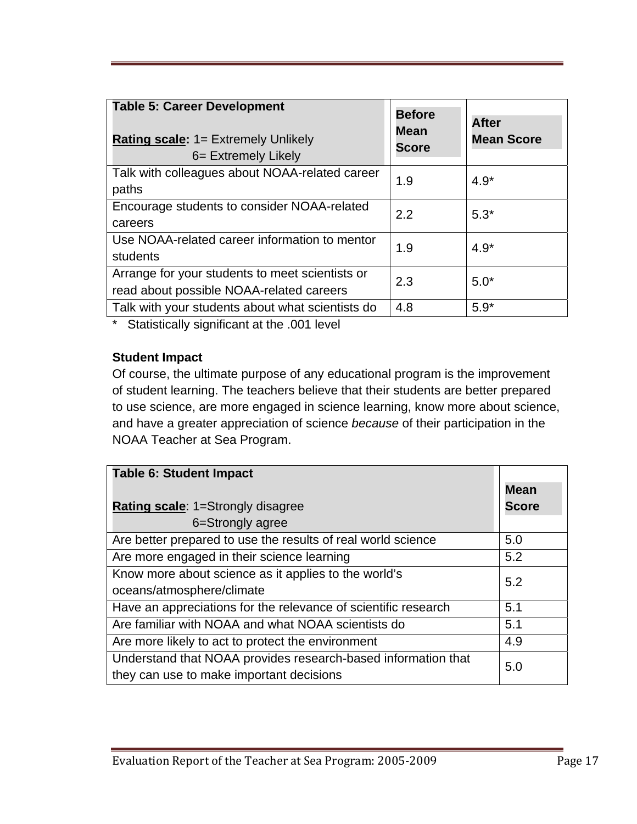| <b>Table 5: Career Development</b><br><b>Rating scale: <math>1 =</math> Extremely Unlikely</b><br>6= Extremely Likely | <b>Before</b><br><b>Mean</b><br><b>Score</b> | <b>After</b><br><b>Mean Score</b> |
|-----------------------------------------------------------------------------------------------------------------------|----------------------------------------------|-----------------------------------|
| Talk with colleagues about NOAA-related career<br>paths                                                               | 1.9                                          | $4.9*$                            |
| Encourage students to consider NOAA-related<br>careers                                                                | 2.2                                          | $5.3*$                            |
| Use NOAA-related career information to mentor<br>students                                                             | 1.9                                          | $4.9*$                            |
| Arrange for your students to meet scientists or<br>read about possible NOAA-related careers                           | 2.3                                          | $5.0*$                            |
| Talk with your students about what scientists do                                                                      | 4.8                                          | $5.9*$                            |

Statistically significant at the .001 level

#### **Student Impact**

Of course, the ultimate purpose of any educational program is the improvement of student learning. The teachers believe that their students are better prepared to use science, are more engaged in science learning, know more about science, and have a greater appreciation of science *because* of their participation in the NOAA Teacher at Sea Program.

| <b>Table 6: Student Impact</b>                                 |              |
|----------------------------------------------------------------|--------------|
|                                                                | <b>Mean</b>  |
| <b>Rating scale: 1=Strongly disagree</b>                       | <b>Score</b> |
| 6=Strongly agree                                               |              |
| Are better prepared to use the results of real world science   | 5.0          |
| Are more engaged in their science learning                     | 5.2          |
| Know more about science as it applies to the world's           |              |
| oceans/atmosphere/climate                                      | 5.2          |
| Have an appreciations for the relevance of scientific research | 5.1          |
| Are familiar with NOAA and what NOAA scientists do             | 5.1          |
| Are more likely to act to protect the environment              | 4.9          |
| Understand that NOAA provides research-based information that  | 5.0          |
| they can use to make important decisions                       |              |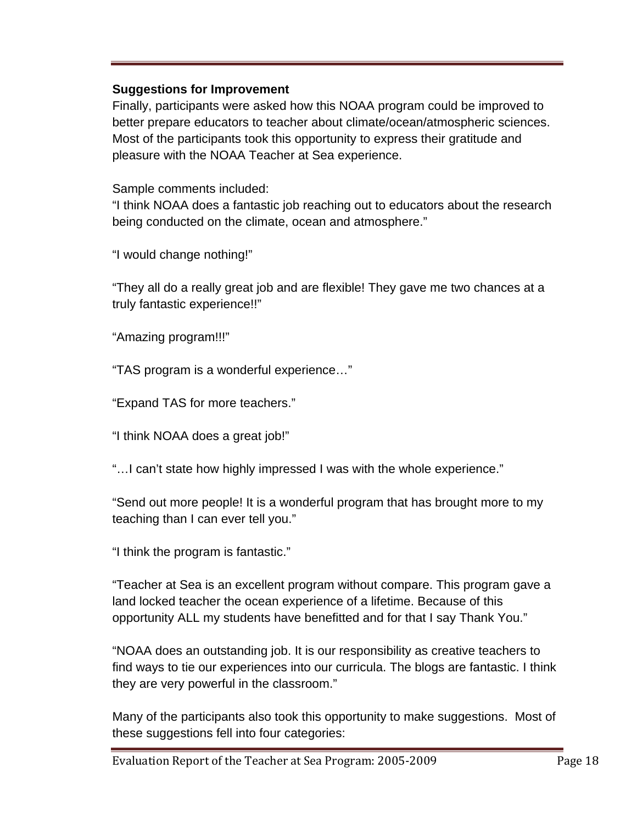#### **Suggestions for Improvement**

Finally, participants were asked how this NOAA program could be improved to better prepare educators to teacher about climate/ocean/atmospheric sciences. Most of the participants took this opportunity to express their gratitude and pleasure with the NOAA Teacher at Sea experience.

Sample comments included:

"I think NOAA does a fantastic job reaching out to educators about the research being conducted on the climate, ocean and atmosphere."

"I would change nothing!"

"They all do a really great job and are flexible! They gave me two chances at a truly fantastic experience!!"

"Amazing program!!!"

"TAS program is a wonderful experience…"

"Expand TAS for more teachers."

"I think NOAA does a great job!"

"…I can't state how highly impressed I was with the whole experience."

"Send out more people! It is a wonderful program that has brought more to my teaching than I can ever tell you."

"I think the program is fantastic."

"Teacher at Sea is an excellent program without compare. This program gave a land locked teacher the ocean experience of a lifetime. Because of this opportunity ALL my students have benefitted and for that I say Thank You."

"NOAA does an outstanding job. It is our responsibility as creative teachers to find ways to tie our experiences into our curricula. The blogs are fantastic. I think they are very powerful in the classroom."

Many of the participants also took this opportunity to make suggestions. Most of these suggestions fell into four categories: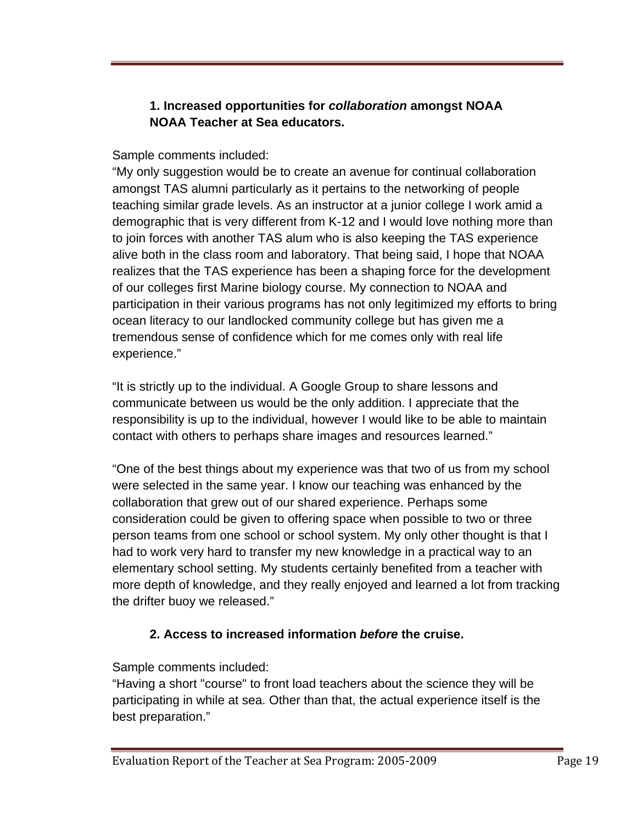# **1. Increased opportunities for** *collaboration* **amongst NOAA NOAA Teacher at Sea educators.**

Sample comments included:

"My only suggestion would be to create an avenue for continual collaboration amongst TAS alumni particularly as it pertains to the networking of people teaching similar grade levels. As an instructor at a junior college I work amid a demographic that is very different from K-12 and I would love nothing more than to join forces with another TAS alum who is also keeping the TAS experience alive both in the class room and laboratory. That being said, I hope that NOAA realizes that the TAS experience has been a shaping force for the development of our colleges first Marine biology course. My connection to NOAA and participation in their various programs has not only legitimized my efforts to bring ocean literacy to our landlocked community college but has given me a tremendous sense of confidence which for me comes only with real life experience."

"It is strictly up to the individual. A Google Group to share lessons and communicate between us would be the only addition. I appreciate that the responsibility is up to the individual, however I would like to be able to maintain contact with others to perhaps share images and resources learned."

"One of the best things about my experience was that two of us from my school were selected in the same year. I know our teaching was enhanced by the collaboration that grew out of our shared experience. Perhaps some consideration could be given to offering space when possible to two or three person teams from one school or school system. My only other thought is that I had to work very hard to transfer my new knowledge in a practical way to an elementary school setting. My students certainly benefited from a teacher with more depth of knowledge, and they really enjoyed and learned a lot from tracking the drifter buoy we released."

# **2. Access to increased information** *before* **the cruise.**

Sample comments included:

"Having a short "course" to front load teachers about the science they will be participating in while at sea. Other than that, the actual experience itself is the best preparation."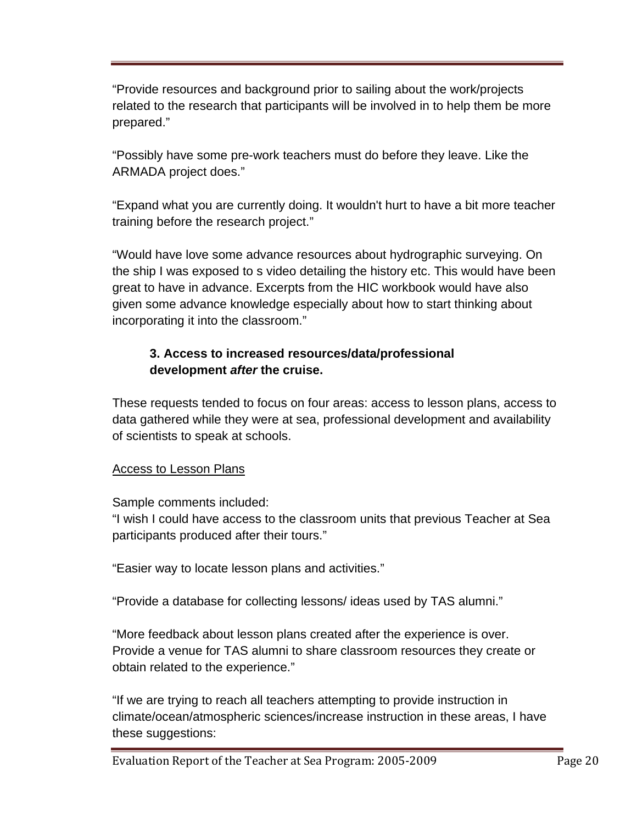"Provide resources and background prior to sailing about the work/projects related to the research that participants will be involved in to help them be more prepared."

"Possibly have some pre-work teachers must do before they leave. Like the ARMADA project does."

"Expand what you are currently doing. It wouldn't hurt to have a bit more teacher training before the research project."

"Would have love some advance resources about hydrographic surveying. On the ship I was exposed to s video detailing the history etc. This would have been great to have in advance. Excerpts from the HIC workbook would have also given some advance knowledge especially about how to start thinking about incorporating it into the classroom."

## **3. Access to increased resources/data/professional development** *after* **the cruise.**

These requests tended to focus on four areas: access to lesson plans, access to data gathered while they were at sea, professional development and availability of scientists to speak at schools.

#### Access to Lesson Plans

Sample comments included:

"I wish I could have access to the classroom units that previous Teacher at Sea participants produced after their tours."

"Easier way to locate lesson plans and activities."

"Provide a database for collecting lessons/ ideas used by TAS alumni."

"More feedback about lesson plans created after the experience is over. Provide a venue for TAS alumni to share classroom resources they create or obtain related to the experience."

"If we are trying to reach all teachers attempting to provide instruction in climate/ocean/atmospheric sciences/increase instruction in these areas, I have these suggestions: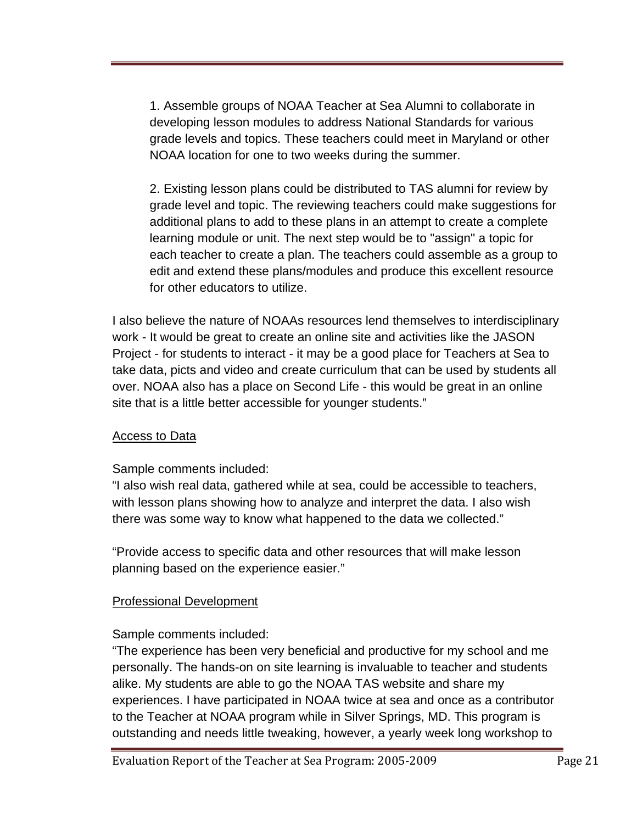1. Assemble groups of NOAA Teacher at Sea Alumni to collaborate in developing lesson modules to address National Standards for various grade levels and topics. These teachers could meet in Maryland or other NOAA location for one to two weeks during the summer.

2. Existing lesson plans could be distributed to TAS alumni for review by grade level and topic. The reviewing teachers could make suggestions for additional plans to add to these plans in an attempt to create a complete learning module or unit. The next step would be to "assign" a topic for each teacher to create a plan. The teachers could assemble as a group to edit and extend these plans/modules and produce this excellent resource for other educators to utilize.

I also believe the nature of NOAAs resources lend themselves to interdisciplinary work - It would be great to create an online site and activities like the JASON Project - for students to interact - it may be a good place for Teachers at Sea to take data, picts and video and create curriculum that can be used by students all over. NOAA also has a place on Second Life - this would be great in an online site that is a little better accessible for younger students."

#### Access to Data

#### Sample comments included:

"I also wish real data, gathered while at sea, could be accessible to teachers, with lesson plans showing how to analyze and interpret the data. I also wish there was some way to know what happened to the data we collected."

"Provide access to specific data and other resources that will make lesson planning based on the experience easier."

#### Professional Development

#### Sample comments included:

"The experience has been very beneficial and productive for my school and me personally. The hands-on on site learning is invaluable to teacher and students alike. My students are able to go the NOAA TAS website and share my experiences. I have participated in NOAA twice at sea and once as a contributor to the Teacher at NOAA program while in Silver Springs, MD. This program is outstanding and needs little tweaking, however, a yearly week long workshop to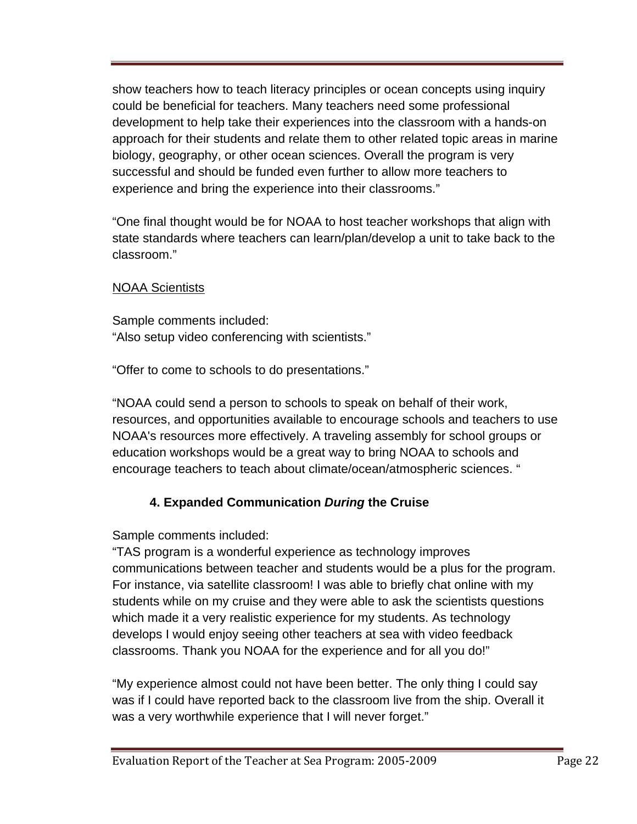show teachers how to teach literacy principles or ocean concepts using inquiry could be beneficial for teachers. Many teachers need some professional development to help take their experiences into the classroom with a hands-on approach for their students and relate them to other related topic areas in marine biology, geography, or other ocean sciences. Overall the program is very successful and should be funded even further to allow more teachers to experience and bring the experience into their classrooms."

"One final thought would be for NOAA to host teacher workshops that align with state standards where teachers can learn/plan/develop a unit to take back to the classroom."

#### NOAA Scientists

Sample comments included: "Also setup video conferencing with scientists."

"Offer to come to schools to do presentations."

"NOAA could send a person to schools to speak on behalf of their work, resources, and opportunities available to encourage schools and teachers to use NOAA's resources more effectively. A traveling assembly for school groups or education workshops would be a great way to bring NOAA to schools and encourage teachers to teach about climate/ocean/atmospheric sciences. "

#### **4. Expanded Communication** *During* **the Cruise**

Sample comments included:

"TAS program is a wonderful experience as technology improves communications between teacher and students would be a plus for the program. For instance, via satellite classroom! I was able to briefly chat online with my students while on my cruise and they were able to ask the scientists questions which made it a very realistic experience for my students. As technology develops I would enjoy seeing other teachers at sea with video feedback classrooms. Thank you NOAA for the experience and for all you do!"

"My experience almost could not have been better. The only thing I could say was if I could have reported back to the classroom live from the ship. Overall it was a very worthwhile experience that I will never forget."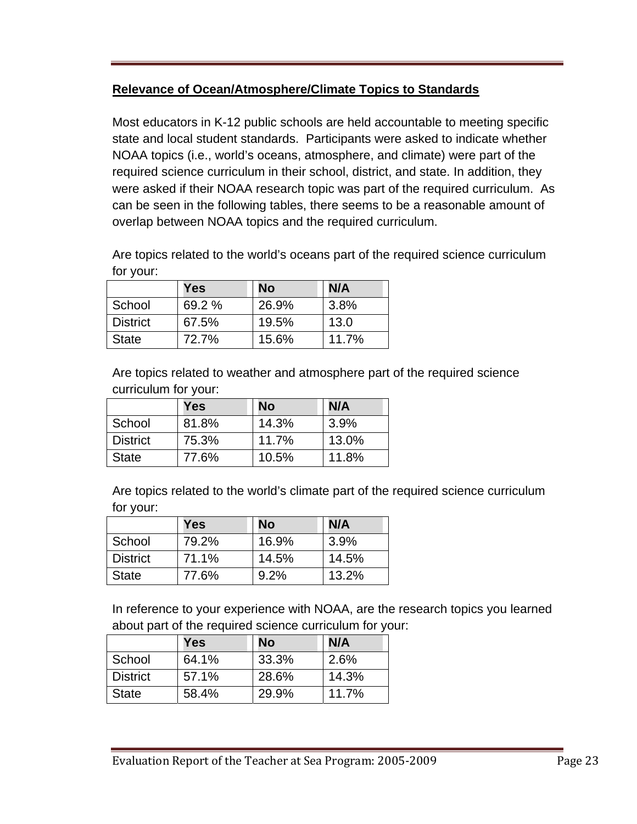# **Relevance of Ocean/Atmosphere/Climate Topics to Standards**

Most educators in K-12 public schools are held accountable to meeting specific state and local student standards. Participants were asked to indicate whether NOAA topics (i.e., world's oceans, atmosphere, and climate) were part of the required science curriculum in their school, district, and state. In addition, they were asked if their NOAA research topic was part of the required curriculum. As can be seen in the following tables, there seems to be a reasonable amount of overlap between NOAA topics and the required curriculum.

Are topics related to the world's oceans part of the required science curriculum for your:

|                 | <b>Yes</b> | <b>No</b> | N/A   |
|-----------------|------------|-----------|-------|
| School          | 69.2 %     | 26.9%     | 3.8%  |
| <b>District</b> | 67.5%      | 19.5%     | 13.0  |
| <b>State</b>    | 72.7%      | 15.6%     | 11.7% |

Are topics related to weather and atmosphere part of the required science curriculum for your:

|                 | <b>Yes</b> | <b>No</b> | N/A   |
|-----------------|------------|-----------|-------|
| School          | 81.8%      | 14.3%     | 3.9%  |
| <b>District</b> | 75.3%      | 11.7%     | 13.0% |
| <b>State</b>    | 77.6%      | 10.5%     | 11.8% |

Are topics related to the world's climate part of the required science curriculum for your:

|                 | Yes   | No    | N/A   |
|-----------------|-------|-------|-------|
| School          | 79.2% | 16.9% | 3.9%  |
| <b>District</b> | 71.1% | 14.5% | 14.5% |
| <b>State</b>    | 77.6% | 9.2%  | 13.2% |

In reference to your experience with NOAA, are the research topics you learned about part of the required science curriculum for your:

|                 | Yes   | No    | N/A   |
|-----------------|-------|-------|-------|
| School          | 64.1% | 33.3% | 2.6%  |
| <b>District</b> | 57.1% | 28.6% | 14.3% |
| <b>State</b>    | 58.4% | 29.9% | 11.7% |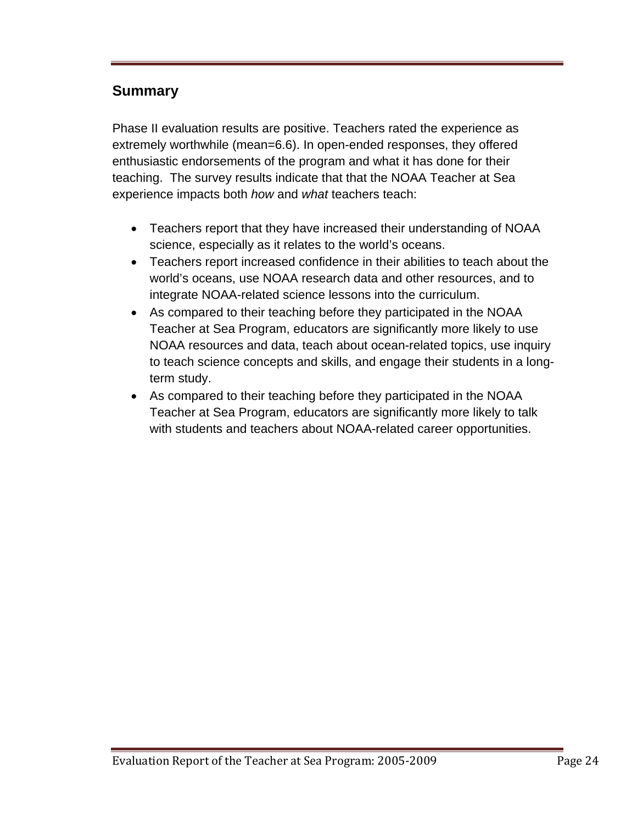# <span id="page-29-0"></span>**Summary**

Phase II evaluation results are positive. Teachers rated the experience as extremely worthwhile (mean=6.6). In open-ended responses, they offered enthusiastic endorsements of the program and what it has done for their teaching. The survey results indicate that that the NOAA Teacher at Sea experience impacts both *how* and *what* teachers teach:

- Teachers report that they have increased their understanding of NOAA science, especially as it relates to the world's oceans.
- Teachers report increased confidence in their abilities to teach about the world's oceans, use NOAA research data and other resources, and to integrate NOAA-related science lessons into the curriculum.
- As compared to their teaching before they participated in the NOAA Teacher at Sea Program, educators are significantly more likely to use NOAA resources and data, teach about ocean-related topics, use inquiry to teach science concepts and skills, and engage their students in a longterm study.
- As compared to their teaching before they participated in the NOAA Teacher at Sea Program, educators are significantly more likely to talk with students and teachers about NOAA-related career opportunities.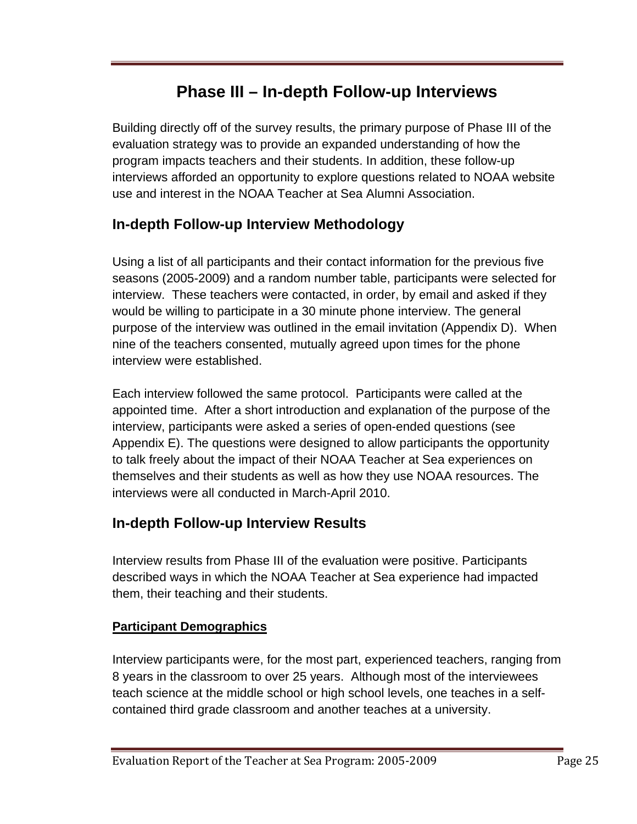# **Phase III – In-depth Follow-up Interviews**

<span id="page-30-0"></span>Building directly off of the survey results, the primary purpose of Phase III of the evaluation strategy was to provide an expanded understanding of how the program impacts teachers and their students. In addition, these follow-up interviews afforded an opportunity to explore questions related to NOAA website use and interest in the NOAA Teacher at Sea Alumni Association.

# **In-depth Follow-up Interview Methodology**

Using a list of all participants and their contact information for the previous five seasons (2005-2009) and a random number table, participants were selected for interview. These teachers were contacted, in order, by email and asked if they would be willing to participate in a 30 minute phone interview. The general purpose of the interview was outlined in the email invitation (Appendix D). When nine of the teachers consented, mutually agreed upon times for the phone interview were established.

Each interview followed the same protocol. Participants were called at the appointed time. After a short introduction and explanation of the purpose of the interview, participants were asked a series of open-ended questions (see Appendix E). The questions were designed to allow participants the opportunity to talk freely about the impact of their NOAA Teacher at Sea experiences on themselves and their students as well as how they use NOAA resources. The interviews were all conducted in March-April 2010.

# **In-depth Follow-up Interview Results**

Interview results from Phase III of the evaluation were positive. Participants described ways in which the NOAA Teacher at Sea experience had impacted them, their teaching and their students.

#### **Participant Demographics**

Interview participants were, for the most part, experienced teachers, ranging from 8 years in the classroom to over 25 years. Although most of the interviewees teach science at the middle school or high school levels, one teaches in a selfcontained third grade classroom and another teaches at a university.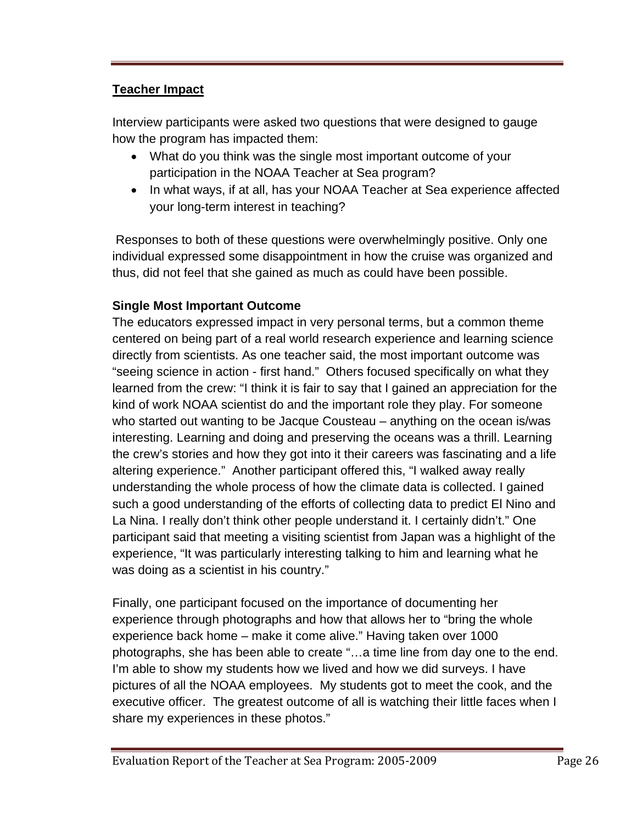# **Teacher Impact**

Interview participants were asked two questions that were designed to gauge how the program has impacted them:

- What do you think was the single most important outcome of your participation in the NOAA Teacher at Sea program?
- In what ways, if at all, has your NOAA Teacher at Sea experience affected your long-term interest in teaching?

 Responses to both of these questions were overwhelmingly positive. Only one individual expressed some disappointment in how the cruise was organized and thus, did not feel that she gained as much as could have been possible.

# **Single Most Important Outcome**

The educators expressed impact in very personal terms, but a common theme centered on being part of a real world research experience and learning science directly from scientists. As one teacher said, the most important outcome was "seeing science in action - first hand." Others focused specifically on what they learned from the crew: "I think it is fair to say that I gained an appreciation for the kind of work NOAA scientist do and the important role they play. For someone who started out wanting to be Jacque Cousteau – anything on the ocean is/was interesting. Learning and doing and preserving the oceans was a thrill. Learning the crew's stories and how they got into it their careers was fascinating and a life altering experience." Another participant offered this, "I walked away really understanding the whole process of how the climate data is collected. I gained such a good understanding of the efforts of collecting data to predict El Nino and La Nina. I really don't think other people understand it. I certainly didn't." One participant said that meeting a visiting scientist from Japan was a highlight of the experience, "It was particularly interesting talking to him and learning what he was doing as a scientist in his country."

Finally, one participant focused on the importance of documenting her experience through photographs and how that allows her to "bring the whole experience back home – make it come alive." Having taken over 1000 photographs, she has been able to create "…a time line from day one to the end. I'm able to show my students how we lived and how we did surveys. I have pictures of all the NOAA employees. My students got to meet the cook, and the executive officer. The greatest outcome of all is watching their little faces when I share my experiences in these photos."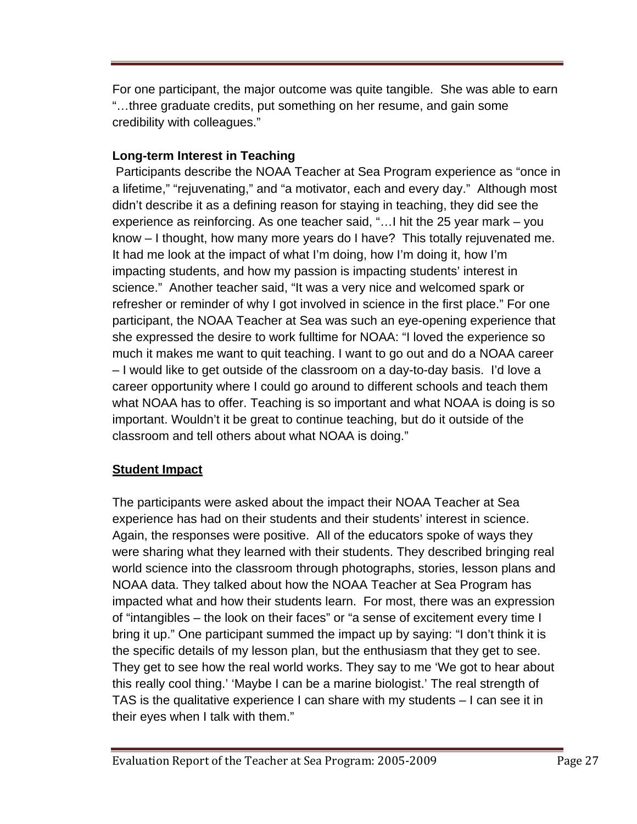For one participant, the major outcome was quite tangible. She was able to earn "…three graduate credits, put something on her resume, and gain some credibility with colleagues."

# **Long-term Interest in Teaching**

 Participants describe the NOAA Teacher at Sea Program experience as "once in a lifetime," "rejuvenating," and "a motivator, each and every day." Although most didn't describe it as a defining reason for staying in teaching, they did see the experience as reinforcing. As one teacher said, "…I hit the 25 year mark – you know – I thought, how many more years do I have? This totally rejuvenated me. It had me look at the impact of what I'm doing, how I'm doing it, how I'm impacting students, and how my passion is impacting students' interest in science." Another teacher said, "It was a very nice and welcomed spark or refresher or reminder of why I got involved in science in the first place." For one participant, the NOAA Teacher at Sea was such an eye-opening experience that she expressed the desire to work fulltime for NOAA: "I loved the experience so much it makes me want to quit teaching. I want to go out and do a NOAA career – I would like to get outside of the classroom on a day-to-day basis. I'd love a career opportunity where I could go around to different schools and teach them what NOAA has to offer. Teaching is so important and what NOAA is doing is so important. Wouldn't it be great to continue teaching, but do it outside of the classroom and tell others about what NOAA is doing."

# **Student Impact**

The participants were asked about the impact their NOAA Teacher at Sea experience has had on their students and their students' interest in science. Again, the responses were positive. All of the educators spoke of ways they were sharing what they learned with their students. They described bringing real world science into the classroom through photographs, stories, lesson plans and NOAA data. They talked about how the NOAA Teacher at Sea Program has impacted what and how their students learn. For most, there was an expression of "intangibles – the look on their faces" or "a sense of excitement every time I bring it up." One participant summed the impact up by saying: "I don't think it is the specific details of my lesson plan, but the enthusiasm that they get to see. They get to see how the real world works. They say to me 'We got to hear about this really cool thing.' 'Maybe I can be a marine biologist.' The real strength of TAS is the qualitative experience I can share with my students – I can see it in their eyes when I talk with them."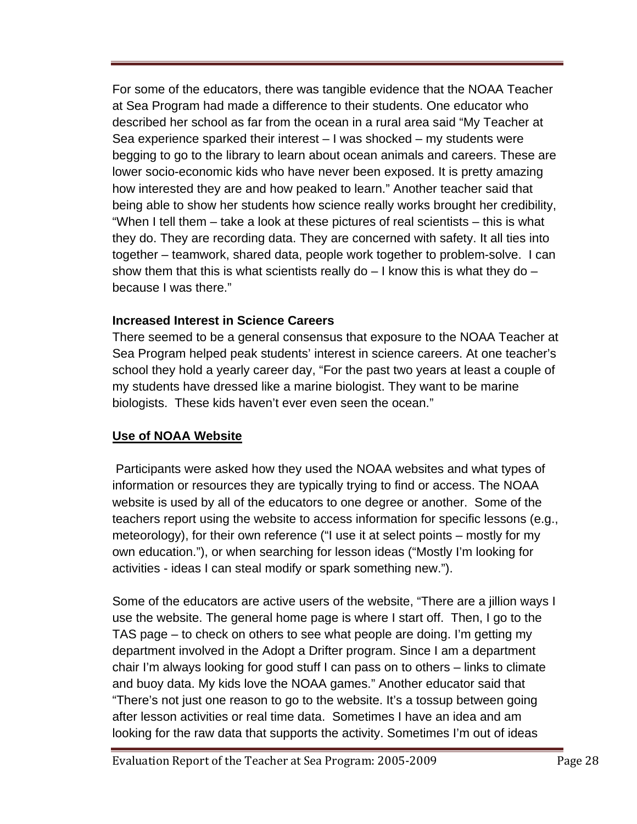For some of the educators, there was tangible evidence that the NOAA Teacher at Sea Program had made a difference to their students. One educator who described her school as far from the ocean in a rural area said "My Teacher at Sea experience sparked their interest – I was shocked – my students were begging to go to the library to learn about ocean animals and careers. These are lower socio-economic kids who have never been exposed. It is pretty amazing how interested they are and how peaked to learn." Another teacher said that being able to show her students how science really works brought her credibility, "When I tell them – take a look at these pictures of real scientists – this is what they do. They are recording data. They are concerned with safety. It all ties into together – teamwork, shared data, people work together to problem-solve. I can show them that this is what scientists really do  $-1$  know this is what they do  $$ because I was there."

#### **Increased Interest in Science Careers**

There seemed to be a general consensus that exposure to the NOAA Teacher at Sea Program helped peak students' interest in science careers. At one teacher's school they hold a yearly career day, "For the past two years at least a couple of my students have dressed like a marine biologist. They want to be marine biologists. These kids haven't ever even seen the ocean."

# **Use of NOAA Website**

 Participants were asked how they used the NOAA websites and what types of information or resources they are typically trying to find or access. The NOAA website is used by all of the educators to one degree or another. Some of the teachers report using the website to access information for specific lessons (e.g., meteorology), for their own reference ("I use it at select points – mostly for my own education."), or when searching for lesson ideas ("Mostly I'm looking for activities - ideas I can steal modify or spark something new.").

Some of the educators are active users of the website, "There are a jillion ways I use the website. The general home page is where I start off. Then, I go to the TAS page – to check on others to see what people are doing. I'm getting my department involved in the Adopt a Drifter program. Since I am a department chair I'm always looking for good stuff I can pass on to others – links to climate and buoy data. My kids love the NOAA games." Another educator said that "There's not just one reason to go to the website. It's a tossup between going after lesson activities or real time data. Sometimes I have an idea and am looking for the raw data that supports the activity. Sometimes I'm out of ideas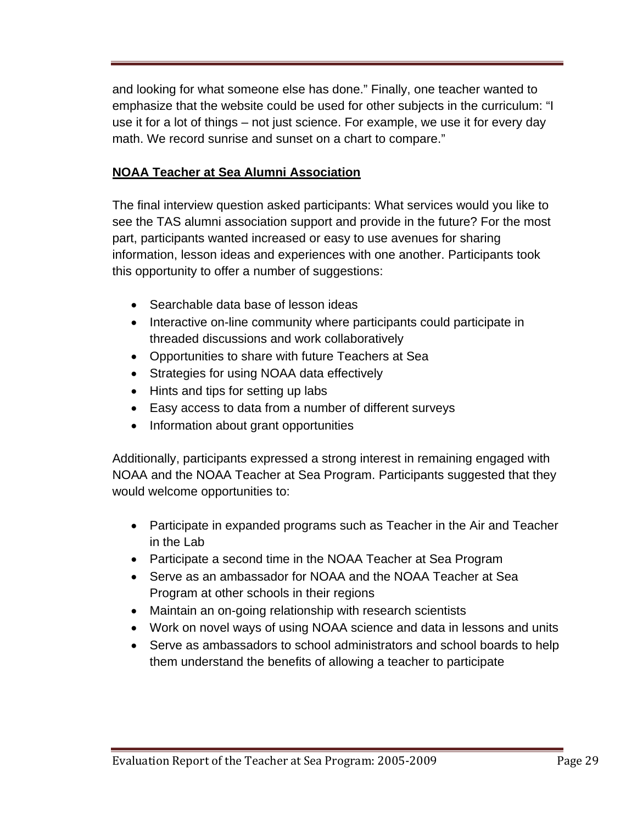and looking for what someone else has done." Finally, one teacher wanted to emphasize that the website could be used for other subjects in the curriculum: "I use it for a lot of things – not just science. For example, we use it for every day math. We record sunrise and sunset on a chart to compare."

# **NOAA Teacher at Sea Alumni Association**

The final interview question asked participants: What services would you like to see the TAS alumni association support and provide in the future? For the most part, participants wanted increased or easy to use avenues for sharing information, lesson ideas and experiences with one another. Participants took this opportunity to offer a number of suggestions:

- Searchable data base of lesson ideas
- Interactive on-line community where participants could participate in threaded discussions and work collaboratively
- Opportunities to share with future Teachers at Sea
- Strategies for using NOAA data effectively
- Hints and tips for setting up labs
- Easy access to data from a number of different surveys
- Information about grant opportunities

Additionally, participants expressed a strong interest in remaining engaged with NOAA and the NOAA Teacher at Sea Program. Participants suggested that they would welcome opportunities to:

- Participate in expanded programs such as Teacher in the Air and Teacher in the Lab
- Participate a second time in the NOAA Teacher at Sea Program
- Serve as an ambassador for NOAA and the NOAA Teacher at Sea Program at other schools in their regions
- Maintain an on-going relationship with research scientists
- Work on novel ways of using NOAA science and data in lessons and units
- Serve as ambassadors to school administrators and school boards to help them understand the benefits of allowing a teacher to participate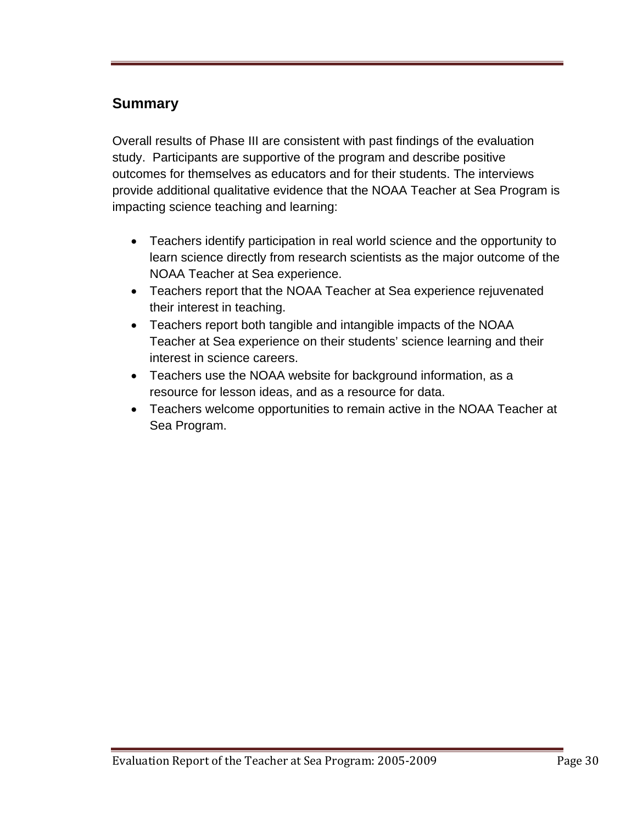# <span id="page-35-0"></span>**Summary**

Overall results of Phase III are consistent with past findings of the evaluation study. Participants are supportive of the program and describe positive outcomes for themselves as educators and for their students. The interviews provide additional qualitative evidence that the NOAA Teacher at Sea Program is impacting science teaching and learning:

- Teachers identify participation in real world science and the opportunity to learn science directly from research scientists as the major outcome of the NOAA Teacher at Sea experience.
- Teachers report that the NOAA Teacher at Sea experience rejuvenated their interest in teaching.
- Teachers report both tangible and intangible impacts of the NOAA Teacher at Sea experience on their students' science learning and their interest in science careers.
- Teachers use the NOAA website for background information, as a resource for lesson ideas, and as a resource for data.
- Teachers welcome opportunities to remain active in the NOAA Teacher at Sea Program.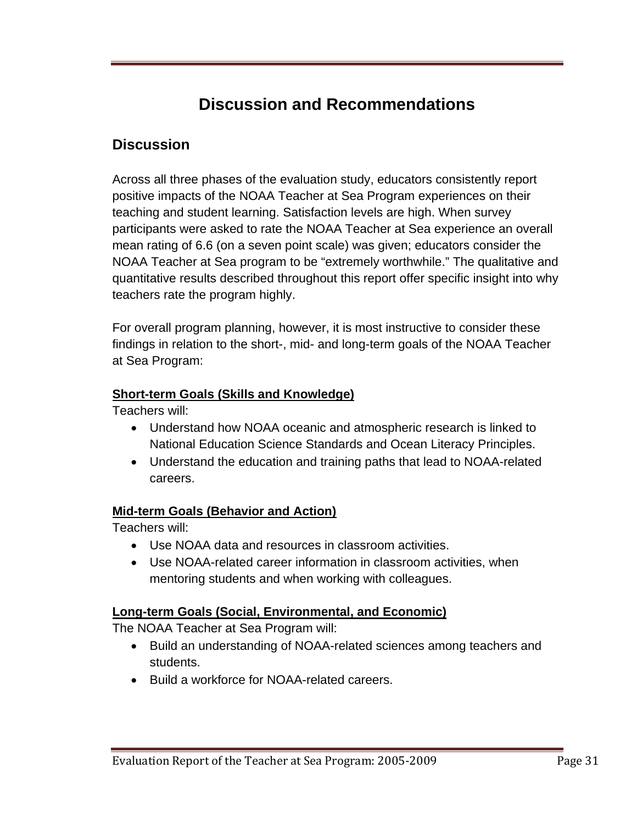# **Discussion and Recommendations**

# <span id="page-36-0"></span>**Discussion**

Across all three phases of the evaluation study, educators consistently report positive impacts of the NOAA Teacher at Sea Program experiences on their teaching and student learning. Satisfaction levels are high. When survey participants were asked to rate the NOAA Teacher at Sea experience an overall mean rating of 6.6 (on a seven point scale) was given; educators consider the NOAA Teacher at Sea program to be "extremely worthwhile." The qualitative and quantitative results described throughout this report offer specific insight into why teachers rate the program highly.

For overall program planning, however, it is most instructive to consider these findings in relation to the short-, mid- and long-term goals of the NOAA Teacher at Sea Program:

# **Short-term Goals (Skills and Knowledge)**

Teachers will:

- Understand how NOAA oceanic and atmospheric research is linked to National Education Science Standards and Ocean Literacy Principles.
- Understand the education and training paths that lead to NOAA-related careers.

# **Mid-term Goals (Behavior and Action)**

Teachers will:

- Use NOAA data and resources in classroom activities.
- Use NOAA-related career information in classroom activities, when mentoring students and when working with colleagues.

# **Long-term Goals (Social, Environmental, and Economic)**

The NOAA Teacher at Sea Program will:

- Build an understanding of NOAA-related sciences among teachers and students.
- Build a workforce for NOAA-related careers.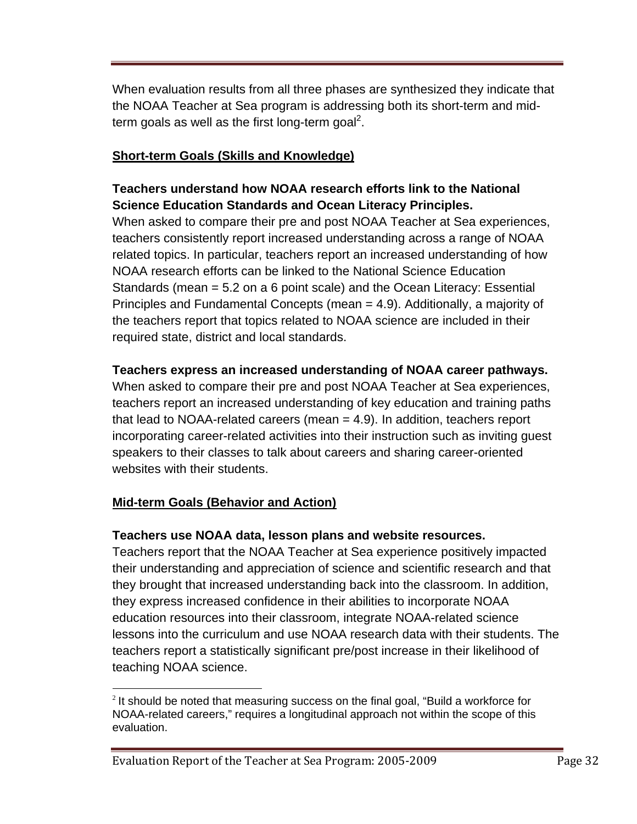When evaluation results from all three phases are synthesized they indicate that the NOAA Teacher at Sea program is addressing both its short-term and midterm goals as well as the first long-term goal<sup>2</sup>.

## **Short-term Goals (Skills and Knowledge)**

# **Teachers understand how NOAA research efforts link to the National Science Education Standards and Ocean Literacy Principles.**

When asked to compare their pre and post NOAA Teacher at Sea experiences, teachers consistently report increased understanding across a range of NOAA related topics. In particular, teachers report an increased understanding of how NOAA research efforts can be linked to the National Science Education Standards (mean = 5.2 on a 6 point scale) and the Ocean Literacy: Essential Principles and Fundamental Concepts (mean = 4.9). Additionally, a majority of the teachers report that topics related to NOAA science are included in their required state, district and local standards.

# **Teachers express an increased understanding of NOAA career pathways.**

When asked to compare their pre and post NOAA Teacher at Sea experiences, teachers report an increased understanding of key education and training paths that lead to NOAA-related careers (mean = 4.9). In addition, teachers report incorporating career-related activities into their instruction such as inviting guest speakers to their classes to talk about careers and sharing career-oriented websites with their students.

# **Mid-term Goals (Behavior and Action)**

# **Teachers use NOAA data, lesson plans and website resources.**

Teachers report that the NOAA Teacher at Sea experience positively impacted their understanding and appreciation of science and scientific research and that they brought that increased understanding back into the classroom. In addition, they express increased confidence in their abilities to incorporate NOAA education resources into their classroom, integrate NOAA-related science lessons into the curriculum and use NOAA research data with their students. The teachers report a statistically significant pre/post increase in their likelihood of teaching NOAA science.

 $\overline{a}$  $2$  It should be noted that measuring success on the final goal, "Build a workforce for NOAA-related careers," requires a longitudinal approach not within the scope of this evaluation.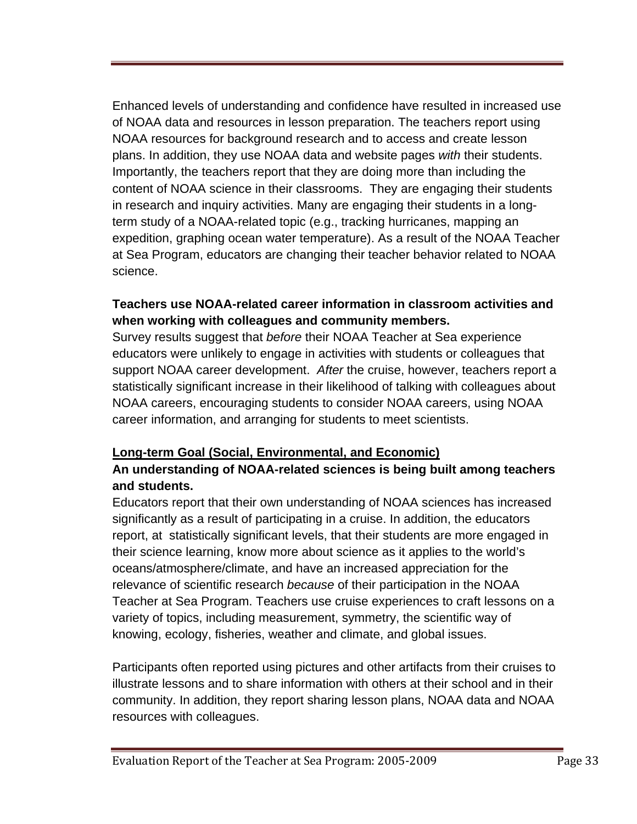Enhanced levels of understanding and confidence have resulted in increased use of NOAA data and resources in lesson preparation. The teachers report using NOAA resources for background research and to access and create lesson plans. In addition, they use NOAA data and website pages *with* their students. Importantly, the teachers report that they are doing more than including the content of NOAA science in their classrooms. They are engaging their students in research and inquiry activities. Many are engaging their students in a longterm study of a NOAA-related topic (e.g., tracking hurricanes, mapping an expedition, graphing ocean water temperature). As a result of the NOAA Teacher at Sea Program, educators are changing their teacher behavior related to NOAA science.

## **when working with colleagues and community members. Teachers use NOAA-related career information in classroom activities and**

Survey results suggest that *before* their NOAA Teacher at Sea experience educators were unlikely to engage in activities with students or colleagues that support NOAA career development. *After* the cruise, however, teachers report a statistically significant increase in their likelihood of talking with colleagues about NOAA careers, encouraging students to consider NOAA careers, using NOAA career information, and arranging for students to meet scientists.

# **Long-term Goal (Social, Environmental, and Economic)**

# **and students. An understanding of NOAA-related sciences is being built among teachers**

Educators report that their own understanding of NOAA sciences has increased significantly as a result of participating in a cruise. In addition, the educators report, at statistically significant levels, that their students are more engaged in their science learning, know more about science as it applies to the world's oceans/atmosphere/climate, and have an increased appreciation for the relevance of scientific research *because* of their participation in the NOAA Teacher at Sea Program. Teachers use cruise experiences to craft lessons on a variety of topics, including measurement, symmetry, the scientific way of knowing, ecology, fisheries, weather and climate, and global issues.

Participants often reported using pictures and other artifacts from their cruises to illustrate lessons and to share information with others at their school and in their community. In addition, they report sharing lesson plans, NOAA data and NOAA resources with colleagues.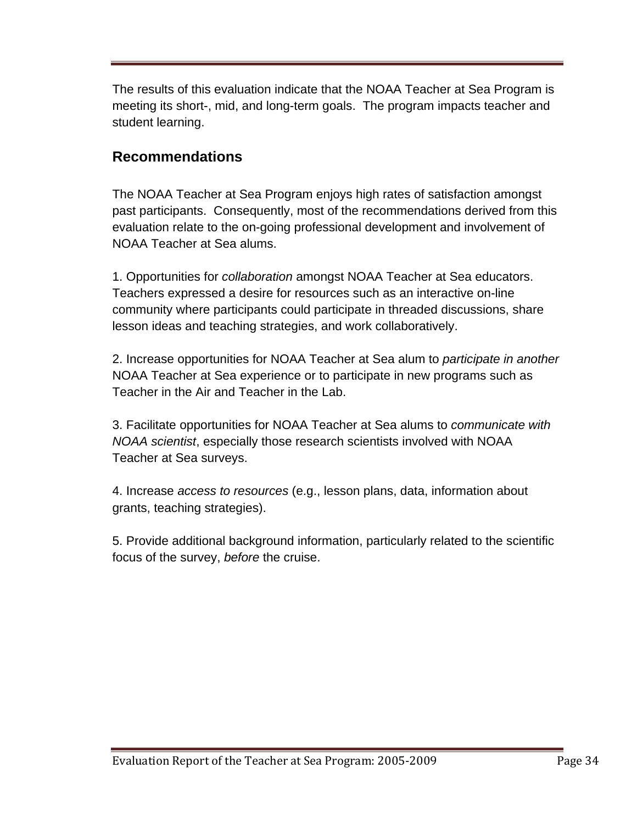The results of this evaluation indicate that the NOAA Teacher at Sea Program is meeting its short-, mid, and long-term goals. The program impacts teacher and student learning.

# **Recommendations**

The NOAA Teacher at Sea Program enjoys high rates of satisfaction amongst past participants. Consequently, most of the recommendations derived from this evaluation relate to the on-going professional development and involvement of NOAA Teacher at Sea alums.

1. Opportunities for *collaboration* amongst NOAA Teacher at Sea educators. Teachers expressed a desire for resources such as an interactive on-line community where participants could participate in threaded discussions, share lesson ideas and teaching strategies, and work collaboratively.

2. Increase opportunities for NOAA Teacher at Sea alum to *participate in another*  NOAA Teacher at Sea experience or to participate in new programs such as Teacher in the Air and Teacher in the Lab.

3. Facilitate opportunities for NOAA Teacher at Sea alums to *communicate with NOAA scientist*, especially those research scientists involved with NOAA Teacher at Sea surveys.

4. Increase *access to resources* (e.g., lesson plans, data, information about grants, teaching strategies).

5. Provide additional background information, particularly related to the scientific focus of the survey, *before* the cruise.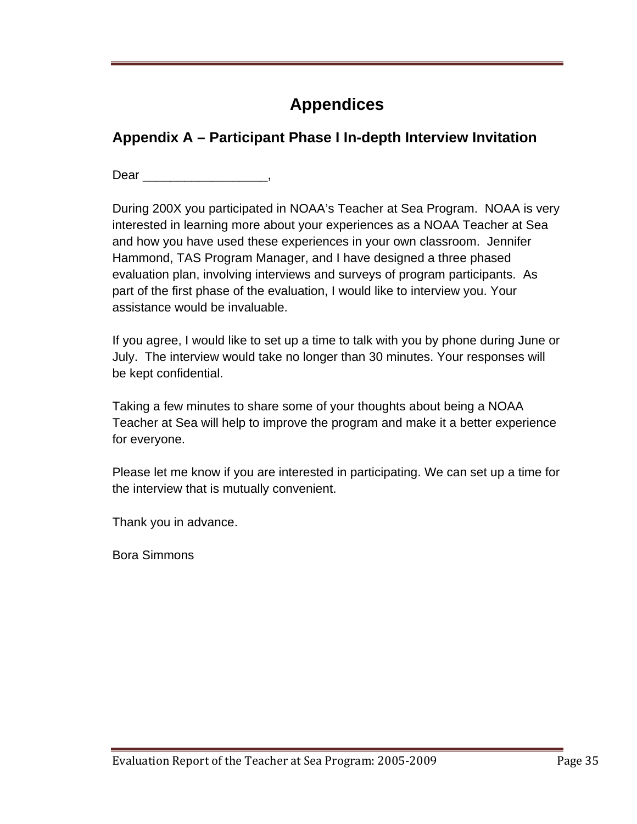# **Appendices**

# <span id="page-40-0"></span>**Appendix A – Participant Phase I In-depth Interview Invitation**

Dear

During 200X you participated in NOAA's Teacher at Sea Program. NOAA is very interested in learning more about your experiences as a NOAA Teacher at Sea and how you have used these experiences in your own classroom. Jennifer Hammond, TAS Program Manager, and I have designed a three phased evaluation plan, involving interviews and surveys of program participants. As part of the first phase of the evaluation, I would like to interview you. Your assistance would be invaluable.

If you agree, I would like to set up a time to talk with you by phone during June or July. The interview would take no longer than 30 minutes. Your responses will be kept confidential.

Taking a few minutes to share some of your thoughts about being a NOAA Teacher at Sea will help to improve the program and make it a better experience for everyone.

Please let me know if you are interested in participating. We can set up a time for the interview that is mutually convenient.

Thank you in advance.

Bora Simmons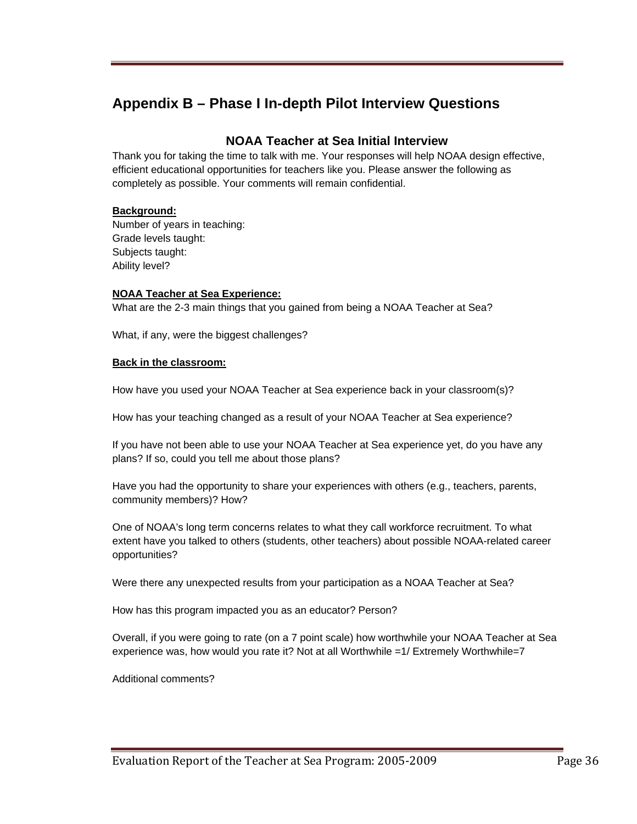# <span id="page-41-0"></span>**Appendix B – Phase I In-depth Pilot Interview Questions**

#### **NOAA Teacher at Sea Initial Interview**

Thank you for taking the time to talk with me. Your responses will help NOAA design effective, efficient educational opportunities for teachers like you. Please answer the following as completely as possible. Your comments will remain confidential.

#### **Background:**

Number of years in teaching: Grade levels taught: Subjects taught: Ability level?

#### **NOAA Teacher at Sea Experience:**

What are the 2-3 main things that you gained from being a NOAA Teacher at Sea?

What, if any, were the biggest challenges?

#### **Back in the classroom:**

How have you used your NOAA Teacher at Sea experience back in your classroom(s)?

How has your teaching changed as a result of your NOAA Teacher at Sea experience?

If you have not been able to use your NOAA Teacher at Sea experience yet, do you have any plans? If so, could you tell me about those plans?

Have you had the opportunity to share your experiences with others (e.g., teachers, parents, community members)? How?

One of NOAA's long term concerns relates to what they call workforce recruitment. To what extent have you talked to others (students, other teachers) about possible NOAA-related career opportunities?

Were there any unexpected results from your participation as a NOAA Teacher at Sea?

How has this program impacted you as an educator? Person?

Overall, if you were going to rate (on a 7 point scale) how worthwhile your NOAA Teacher at Sea experience was, how would you rate it? Not at all Worthwhile =1/ Extremely Worthwhile=7

Additional comments?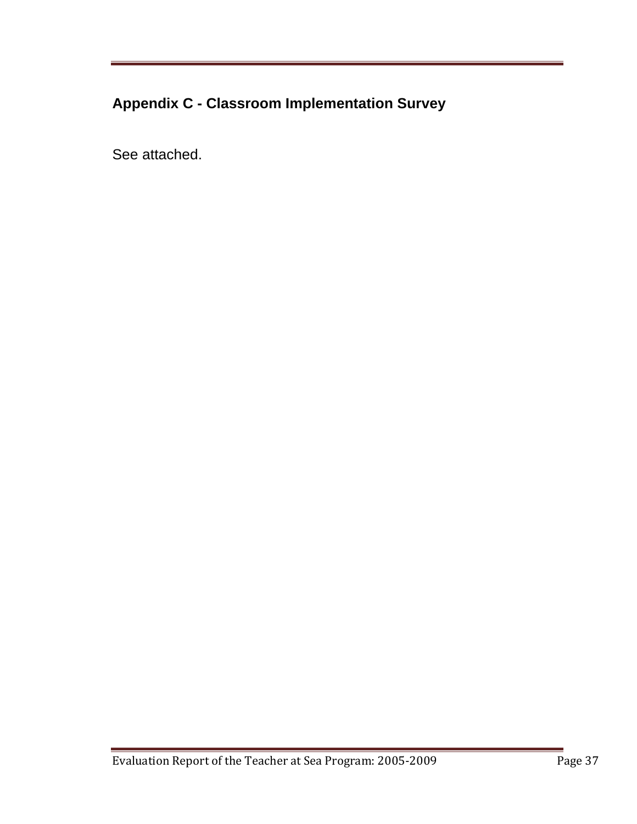# <span id="page-42-0"></span>**Appendix C - Classroom Implementation Survey**

See attached.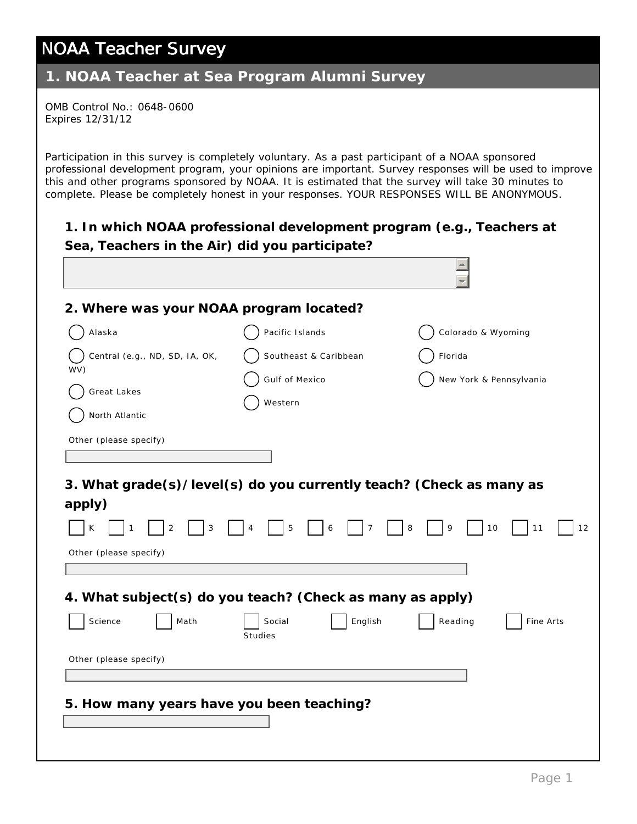# n n n n n n n n n n n  $\vert$  K  $\vert$  1  $\vert$   $\vert$  2  $\vert$   $\vert$  3  $\vert$   $\vert$  4  $\vert$   $\vert$  5  $\vert$   $\vert$  6  $\vert$   $\vert$  7  $\vert$   $\vert$  8  $\vert$   $\vert$  9  $\vert$   $\vert$  10  $\vert$   $\vert$  11  $\vert$ Science ||Math ||Social ||English ||Reading || **NOAA Teacher Survey 1. NOAA Teacher at Sea Program Alumni Survey**  OMB Control No.: 0648-0600 Expires 12/31/12 Participation in this survey is completely voluntary. As a past participant of a NOAA sponsored professional development program, your opinions are important. Survey responses will be used to improve this and other programs sponsored by NOAA. It is estimated that the survey will take 30 minutes to complete. Please be completely honest in your responses. YOUR RESPONSES WILL BE ANONYMOUS. **1. In which NOAA professional development program (e.g., Teachers at Sea, Teachers in the Air) did you participate? 2. Where was your NOAA program located?**  Alaska mlkj Pacific Islands () Pacific Islands () Colorado & Wyoming Central (e.g., ND, SD, IA, OK,  $\left( \begin{array}{c} \end{array} \right)$  Southeast & Caribbean  $\left( \begin{array}{c} \end{array} \right)$  Florida WV) Gulf of Mexico  $\left( \begin{array}{c} \end{array} \right)$  New York & Pennsylvania **Great Lakes** Western North Atlantic Other (please specify) **3. What grade(s)/level(s) do you currently teach? (Check as many as apply)**  fedcate federal federal federal federal federal federal federal federal federal federal federal federal federa<br>The federal federal federal federal federal federal federal federal federal federal federal federal federal fe Other (please specify) **4. What subject(s) do you teach? (Check as many as apply)**  federation federal federal federal federal federation in the Arts of Social federal federation in the Arts Studies Other (please specify) **5. How many years have you been teaching?**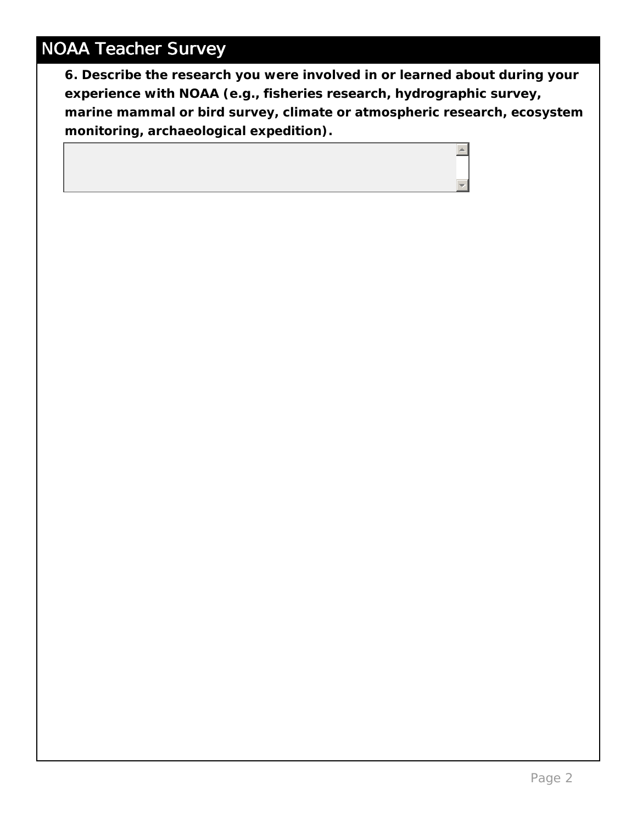**6. Describe the research you were involved in or learned about during your experience with NOAA (e.g., fisheries research, hydrographic survey, marine mammal or bird survey, climate or atmospheric research, ecosystem monitoring, archaeological expedition).**

 $\blacktriangle$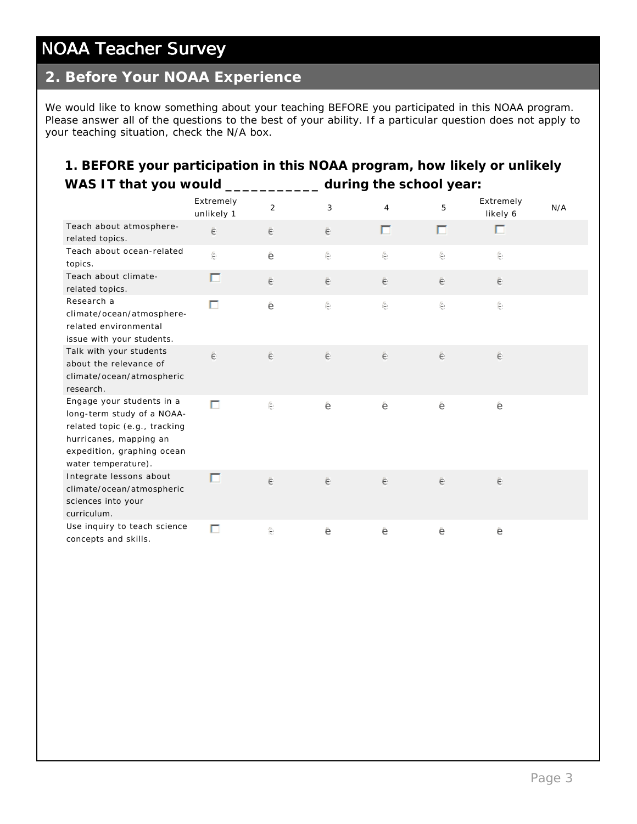# <span id="page-45-0"></span>**2. Before Your NOAA Experience**

We would like to know something about your teaching BEFORE you participated in this NOAA program. Please answer all of the questions to the best of your ability. If a particular question does not apply to your teaching situation, check the N/A box.

## **1. BEFORE your participation in this NOAA program, how likely or unlikely WAS IT that you would \_\_\_\_\_\_\_\_\_\_\_ during the school year:**

|                                                                                                                                                                         | Extremely<br>unlikely 1 | $\overline{2}$ | 3 | 4 | 5         | Extremely<br>likely 6 | N/A |
|-------------------------------------------------------------------------------------------------------------------------------------------------------------------------|-------------------------|----------------|---|---|-----------|-----------------------|-----|
| Teach about atmosphere-<br>related topics.                                                                                                                              | ê                       | ê              | ê | п | п         | п                     |     |
| Teach about ocean-related<br>topics.                                                                                                                                    | e                       | ê              | e | e | e         | e                     |     |
| Teach about climate-<br>related topics.                                                                                                                                 | п                       | ê              | ê | ê | ê         | ê                     |     |
| Research a<br>climate/ocean/atmosphere-<br>related environmental<br>issue with your students.                                                                           | п                       | ê              | e | e | $\ominus$ | e                     |     |
| Talk with your students<br>about the relevance of<br>climate/ocean/atmospheric<br>research.                                                                             | ê                       | ê              | ê | ê | ê         | ê                     |     |
| Engage your students in a<br>long-term study of a NOAA-<br>related topic (e.g., tracking<br>hurricanes, mapping an<br>expedition, graphing ocean<br>water temperature). | п                       | ê,             | ê | ê | ê         | ê                     |     |
| Integrate lessons about<br>climate/ocean/atmospheric<br>sciences into your<br>curriculum.                                                                               | - 11                    | ê              | ê | ê | ê         | ê                     |     |
| Use inquiry to teach science<br>concepts and skills.                                                                                                                    | п                       | ê              | ê | ê | ê         | ê                     |     |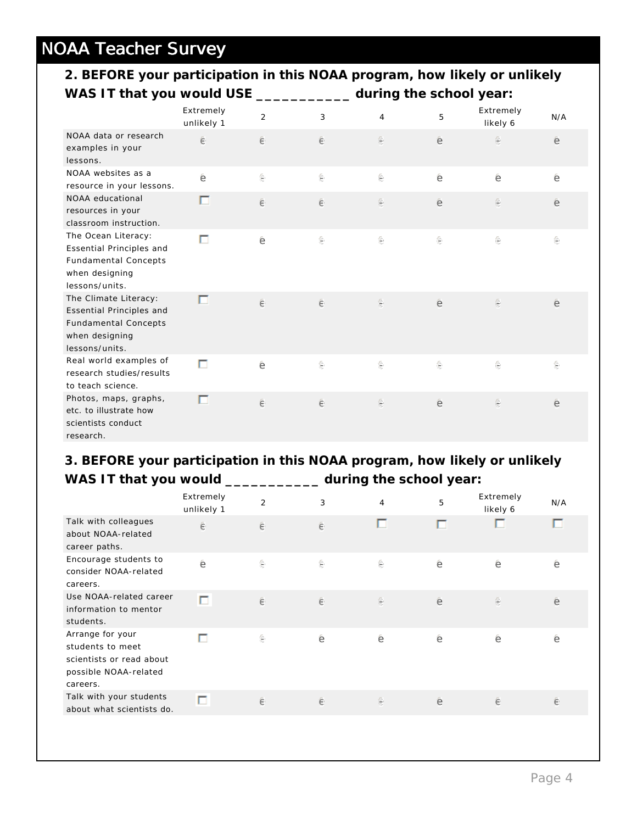**2. BEFORE your participation in this NOAA program, how likely or unlikely WAS IT that you would USE \_\_\_\_\_\_\_\_\_\_\_ during the school year:**

|                                                                                                                           | Extremely<br>unlikely 1 | $\overline{2}$ | 3        | $\overline{4}$  | 5 | Extremely<br>likely 6 | N/A |
|---------------------------------------------------------------------------------------------------------------------------|-------------------------|----------------|----------|-----------------|---|-----------------------|-----|
| NOAA data or research<br>examples in your<br>lessons.                                                                     | ê                       | ê              | ê        | $\in$           | ê | ê                     | ê   |
| NOAA websites as a<br>resource in your lessons.                                                                           | ê                       | ê              | ê        | ê               | ê | ê                     | ê   |
| NOAA educational<br>resources in your<br>classroom instruction.                                                           | п                       | e              | ê        | ê               | e | ê                     | ê   |
| The Ocean Literacy:<br><b>Essential Principles and</b><br><b>Fundamental Concepts</b><br>when designing<br>lessons/units. | п                       | $\hat{e}$      | $\oplus$ | e               | e | $\epsilon$            | ê   |
| The Climate Literacy:<br>Essential Principles and<br><b>Fundamental Concepts</b><br>when designing<br>lessons/units.      | п                       | e              | ê        | €               | e | $\hat{\mathbf{e}}$    | ê   |
| Real world examples of<br>research studies/results<br>to teach science.                                                   | п                       | ê              | ê.       | e               | e | e                     | e   |
| Photos, maps, graphs,<br>etc. to illustrate how<br>scientists conduct<br>research.                                        | п                       | ê              | ê        | $\widehat{\in}$ | ê | e                     | ê   |

# **3. BEFORE your participation in this NOAA program, how likely or unlikely WAS IT that you would \_\_\_\_\_\_\_\_\_\_\_ during the school year:**

|                                                                                                       | Extremely<br>unlikely 1 | $\overline{2}$ | 3     | $\overline{4}$  | 5 | Extremely<br>likely 6 | N/A |
|-------------------------------------------------------------------------------------------------------|-------------------------|----------------|-------|-----------------|---|-----------------------|-----|
| Talk with colleagues<br>about NOAA-related<br>career paths.                                           | $\in$                   | ê              | $\in$ |                 |   |                       | ш   |
| Encourage students to<br>consider NOAA-related<br>careers.                                            | ê                       | e              | e     | e               | ê | ê                     | ê   |
| Use NOAA-related career<br>information to mentor<br>students.                                         | п                       | ê              | ê     | $\widehat{\in}$ | ê | $\in$                 | ê   |
| Arrange for your<br>students to meet<br>scientists or read about<br>possible NOAA-related<br>careers. | ப                       | e              | ê     | ê               | ê | ê                     | ê   |
| Talk with your students<br>about what scientists do.                                                  | п                       | ê              | $\in$ | $\oplus$        | ê | ê                     | ê   |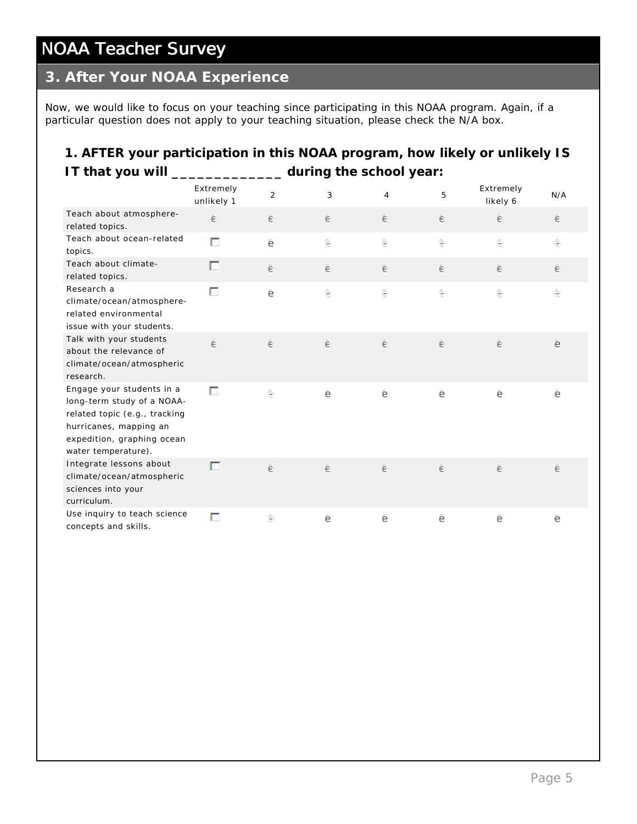# **3. After Your NOAA Experience**

# **1. AFTER your participation in this NOAA program, how likely or unlikely IS IT that you will \_\_\_\_\_\_\_\_\_\_\_\_\_ during the school year:**

|                                                                                                                                                                                                                                                                                                                                             | <b>NOAA Teacher Survey</b>                                                                                                                                              |                         |                |   |                |   |                       |     |  |
|---------------------------------------------------------------------------------------------------------------------------------------------------------------------------------------------------------------------------------------------------------------------------------------------------------------------------------------------|-------------------------------------------------------------------------------------------------------------------------------------------------------------------------|-------------------------|----------------|---|----------------|---|-----------------------|-----|--|
|                                                                                                                                                                                                                                                                                                                                             | 3. After Your NOAA Experience                                                                                                                                           |                         |                |   |                |   |                       |     |  |
| Now, we would like to focus on your teaching since participating in this NOAA program. Again, if a<br>particular question does not apply to your teaching situation, please check the N/A box.<br>1. AFTER your participation in this NOAA program, how likely or unlikely IS<br>IT that you will _________________ during the school year: |                                                                                                                                                                         |                         |                |   |                |   |                       |     |  |
|                                                                                                                                                                                                                                                                                                                                             |                                                                                                                                                                         | Extremely<br>unlikely 1 | $\overline{2}$ | 3 | $\overline{4}$ | 5 | Extremely<br>likely 6 | N/A |  |
|                                                                                                                                                                                                                                                                                                                                             | Teach about atmosphere-<br>related topics.                                                                                                                              | ê                       | e              | ê | e              | e | e                     | e   |  |
|                                                                                                                                                                                                                                                                                                                                             | Teach about ocean-related<br>topics.                                                                                                                                    | п                       | ê              | e | e              | e | e                     | e   |  |
|                                                                                                                                                                                                                                                                                                                                             | Teach about climate-<br>related topics.                                                                                                                                 | п                       | ê              | ê | e              | e | ê                     | ê   |  |
|                                                                                                                                                                                                                                                                                                                                             | Research a<br>climate/ocean/atmosphere-<br>related environmental<br>issue with your students.                                                                           | п                       | ê              | ê | e              | e | $\oplus$              | e   |  |
|                                                                                                                                                                                                                                                                                                                                             | Talk with your students<br>about the relevance of<br>climate/ocean/atmospheric<br>research.                                                                             | ê                       | ê              | ê | ê              | ê | ê                     | ë   |  |
|                                                                                                                                                                                                                                                                                                                                             | Engage your students in a<br>long-term study of a NOAA-<br>related topic (e.g., tracking<br>hurricanes, mapping an<br>expedition, graphing ocean<br>water temperature). | п                       | e              | ê | ê              | ê | ê                     | ê   |  |
|                                                                                                                                                                                                                                                                                                                                             | Integrate lessons about<br>climate/ocean/atmospheric<br>sciences into your<br>curriculum.                                                                               | П                       | e              | ê | ē              | e | e                     | e   |  |
|                                                                                                                                                                                                                                                                                                                                             | Use inquiry to teach science<br>concepts and skills.                                                                                                                    | п                       | e              | ê | ê              | ê | ê                     | ê   |  |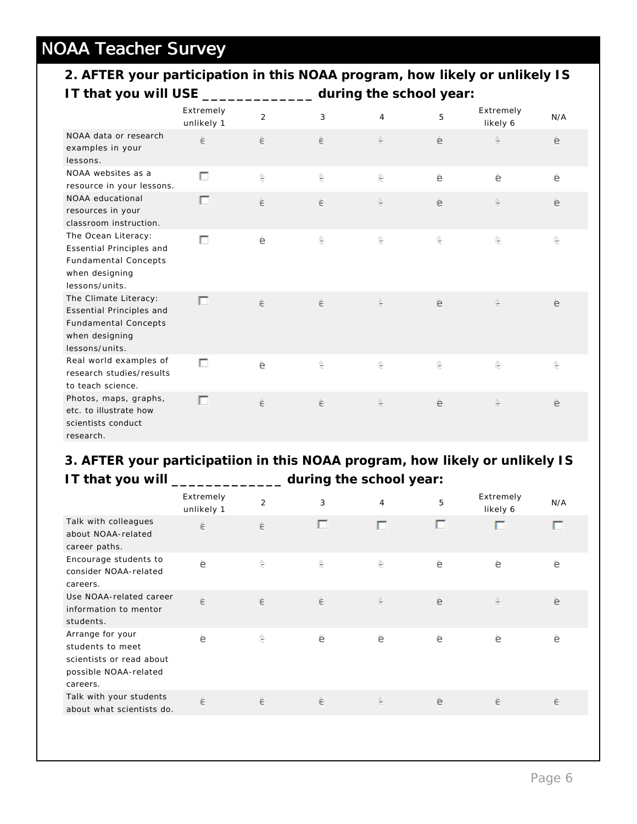**2. AFTER your participation in this NOAA program, how likely or unlikely IS IT that you will USE \_\_\_\_\_\_\_\_\_\_\_\_\_ during the school year:**

|                                                                                                                             | Extremely<br>unlikely 1 | 2 | 3  | $\overline{4}$   | 5 | Extremely<br>likely 6 | N/A                |
|-----------------------------------------------------------------------------------------------------------------------------|-------------------------|---|----|------------------|---|-----------------------|--------------------|
| NOAA data or research<br>examples in your<br>lessons.                                                                       | ê                       | ê | ê  | ê                | ê | ê                     | ê                  |
| NOAA websites as a<br>resource in your lessons.                                                                             | п                       | e | Ĉ. | e                | ê | ê                     | ê                  |
| NOAA educational<br>resources in your<br>classroom instruction.                                                             | ⊓                       | ê | ê  | ê                | ê | ê                     | ê                  |
| The Ocean Literacy:<br><b>Essential Principles and</b><br><b>Fundamental Concepts</b><br>when designing<br>lessons/units.   | п                       | ê | ê  | $\hat{\epsilon}$ | ê | ê                     | $\mathbf{\hat{e}}$ |
| The Climate Literacy:<br><b>Essential Principles and</b><br><b>Fundamental Concepts</b><br>when designing<br>lessons/units. | ⊓                       | ê | ê  | $\epsilon$       | ê | ê                     | ê                  |
| Real world examples of<br>research studies/results<br>to teach science.                                                     | п                       | ê | e  | e                | e | ê                     | e                  |
| Photos, maps, graphs,<br>etc. to illustrate how<br>scientists conduct<br>research.                                          | п                       | ê | ê  | ê                | ê | ê                     | ê                  |

#### **3. AFTER your participatiion in this NOAA program, how likely or unlikely IS IT that you will \_\_\_\_\_\_\_\_\_\_\_\_\_ during the school year:**

| TT that you will                                                                                      | during the school year: |                |              |                |   |                       |     |  |
|-------------------------------------------------------------------------------------------------------|-------------------------|----------------|--------------|----------------|---|-----------------------|-----|--|
|                                                                                                       | Extremely<br>unlikely 1 | $\overline{2}$ | $\mathbf{3}$ | $\overline{4}$ | 5 | Extremely<br>likely 6 | N/A |  |
| Talk with colleagues<br>about NOAA-related<br>career paths.                                           | ê                       | ê              |              |                |   |                       | ш   |  |
| Encourage students to<br>consider NOAA-related<br>careers.                                            | $\widehat{e}$           | ê              | Ê.           | e              | ê | ê                     | ê   |  |
| Use NOAA-related career<br>information to mentor<br>students.                                         | ê                       | ê              | $\in$        | $\oplus$       | ê | $\oplus$              | ê   |  |
| Arrange for your<br>students to meet<br>scientists or read about<br>possible NOAA-related<br>careers. | ê                       | ê              | ê            | ê              | ê | ê                     | ê   |  |
| Talk with your students<br>about what scientists do.                                                  | $\in$                   | ê              | $\in$        | $\oplus$       | ê | ê                     | ê   |  |
|                                                                                                       |                         |                |              |                |   |                       |     |  |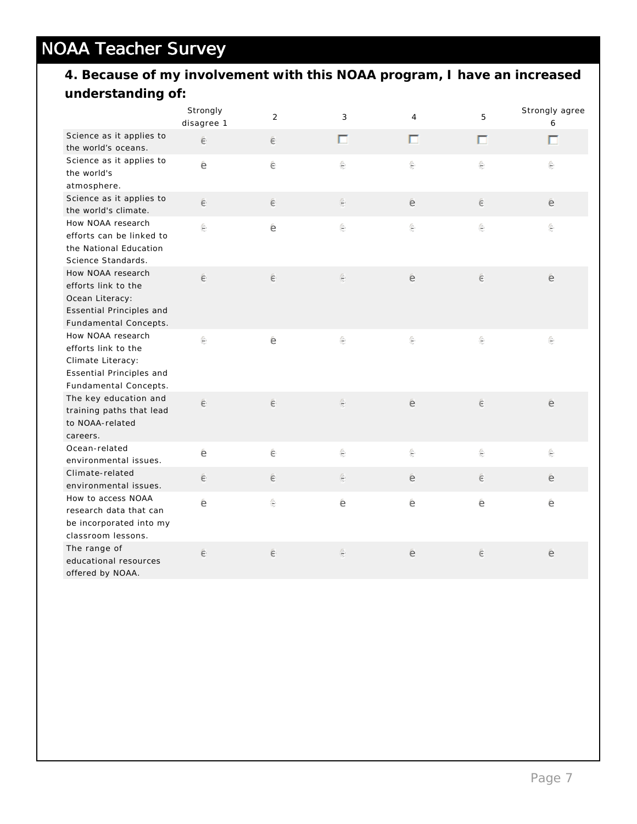# **4. Because of my involvement with this NOAA program, I have an increased understanding of:**

|                                                                                                                           | Strongly<br>disagree 1 | $\overline{2}$ | 3                | 4         | 5          | Strongly agree<br>6 |
|---------------------------------------------------------------------------------------------------------------------------|------------------------|----------------|------------------|-----------|------------|---------------------|
| Science as it applies to<br>the world's oceans.                                                                           | ê                      | ê              | п                | П         | п          | п                   |
| Science as it applies to<br>the world's<br>atmosphere.                                                                    | ê                      | ê              | Ê.               | e         | $\epsilon$ | ê                   |
| Science as it applies to<br>the world's climate.                                                                          | ê                      | ê              | ê                | e         | ê          | e                   |
| How NOAA research<br>efforts can be linked to<br>the National Education<br>Science Standards.                             | ê                      | ê              | ê.               | $\ominus$ | e          | e                   |
| How NOAA research<br>efforts link to the<br>Ocean Literacy:<br><b>Essential Principles and</b><br>Fundamental Concepts.   | ê                      | ê              | $\in$            | ê         | $\in$      | ê                   |
| How NOAA research<br>efforts link to the<br>Climate Literacy:<br><b>Essential Principles and</b><br>Fundamental Concepts. | ê                      | ê              | $\ominus$        | e         | $\epsilon$ | ê.                  |
| The key education and<br>training paths that lead<br>to NOAA-related<br>careers.                                          | ê                      | ê              | $\in$            | ê         | ê          | ê                   |
| Ocean-related<br>environmental issues.                                                                                    | ê                      | ê              | €                | e         | e          | Ê.                  |
| Climate-related<br>environmental issues.                                                                                  | ê                      | ê              | $\hat{\epsilon}$ | e         | e          | ê                   |
| How to access NOAA<br>research data that can<br>be incorporated into my<br>classroom lessons.                             | ê                      | e              | ê                | ê         | ê          | ê                   |
| The range of<br>educational resources<br>offered by NOAA.                                                                 | ê                      | ê              | $\in$            | e         | ê          | e                   |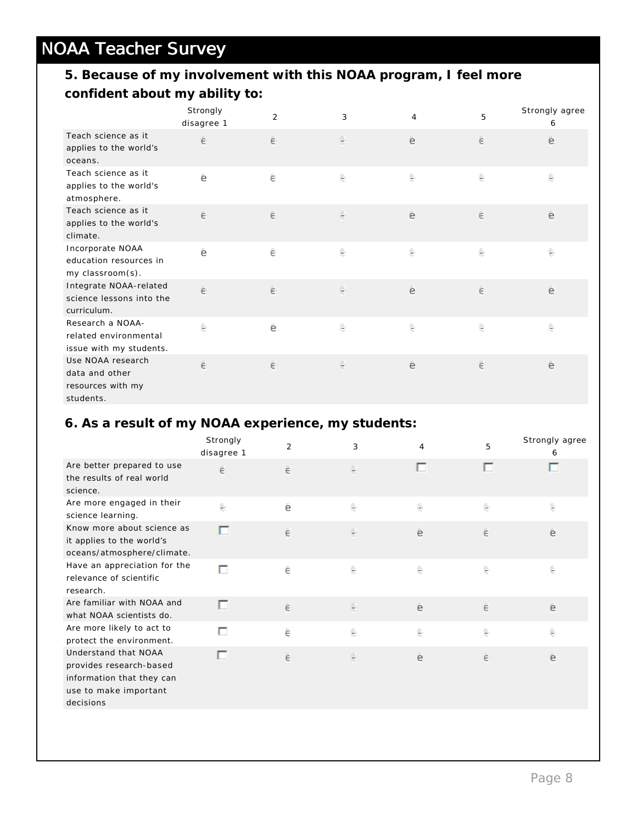# **5. Because of my involvement with this NOAA program, I feel more confident about my ability to:**

|                                                                       | Strongly<br>disagree 1 | $\overline{2}$ | 3                  | $\overline{4}$ | 5          | Strongly agree<br>6 |
|-----------------------------------------------------------------------|------------------------|----------------|--------------------|----------------|------------|---------------------|
| Teach science as it<br>applies to the world's<br>oceans.              | ê                      | $\in$          | ê                  | ê              | $\in$      | ê                   |
| Teach science as it<br>applies to the world's<br>atmosphere.          | ê                      | ê              | Ĉ.                 | Ĉ.             | $\epsilon$ | $\hat{\epsilon}$    |
| Teach science as it<br>applies to the world's<br>climate.             | ê                      | $\in$          | $\in$              | ê              | $\in$      | ê                   |
| Incorporate NOAA<br>education resources in<br>my classroom(s).        | ê                      | ê              | €                  | Ĉ.             | €          | ê                   |
| Integrate NOAA-related<br>science lessons into the<br>curriculum.     | ê                      | $\in$          | $\oplus$           | ê              | $\in$      | ê                   |
| Research a NOAA-<br>related environmental<br>issue with my students.  | ê                      | ê              | $\hat{\mathbf{e}}$ | e              | e          | e                   |
| Use NOAA research<br>data and other<br>resources with my<br>students. | ê                      | $\epsilon$     | ê                  | ê              | $\in$      | ê                   |

# **6. As a result of my NOAA experience, my students:**

|                                                                                                                    | Strongly<br>disagree 1 | $\overline{2}$ | 3     | 4          | 5 | Strongly agree<br>6 |
|--------------------------------------------------------------------------------------------------------------------|------------------------|----------------|-------|------------|---|---------------------|
| Are better prepared to use<br>the results of real world<br>science.                                                | ê                      | $\epsilon$     | ê     |            |   |                     |
| Are more engaged in their<br>science learning.                                                                     | ê                      | ê              | e     | e          | e | ê.                  |
| Know more about science as<br>it applies to the world's<br>oceans/atmosphere/climate.                              |                        | ê              | ê     | ê          | ê | ê                   |
| Have an appreciation for the<br>relevance of scientific<br>research.                                               | п                      | ê              | e     | e          | ê | e                   |
| Are familiar with NOAA and<br>what NOAA scientists do.                                                             | ⊓                      | ê              | $\in$ | $\epsilon$ | ê | ê                   |
| Are more likely to act to<br>protect the environment.                                                              | г                      | ê              | e     | e          | e | e                   |
| Understand that NOAA<br>provides research-based<br>information that they can<br>use to make important<br>decisions |                        | $\in$          | ê     | ê          | ê | ê                   |
|                                                                                                                    |                        |                |       |            |   |                     |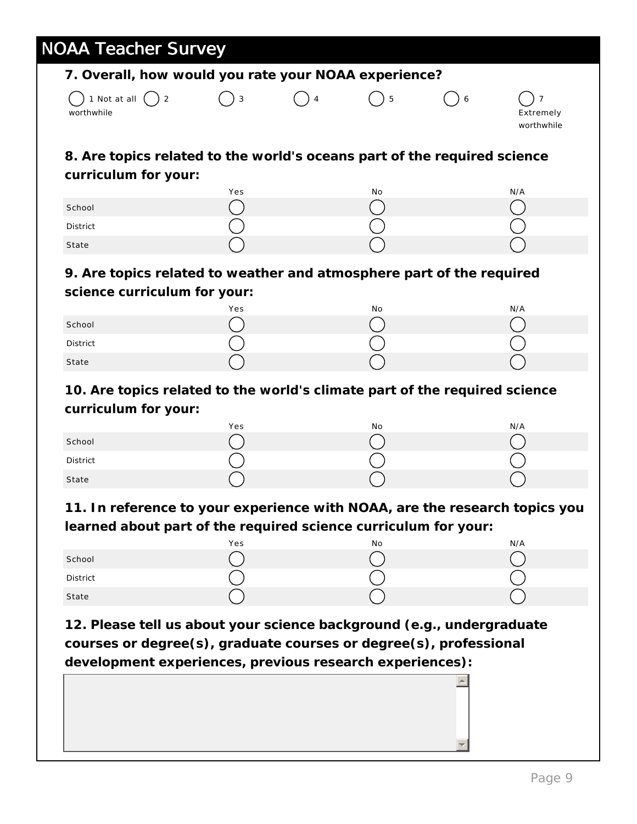| 8. Are topics related to the world's oceans part of the required science<br>N/A<br>Yes<br>No<br>N/A<br>No<br>Yes<br>N/A<br>Yes<br>No<br>N/A<br>Yes<br>No                                                                                                                                                                                                                                                                                                        | 7. Overall, how would you rate your NOAA experience?<br>1 Not at all $( )$ 2<br>worthwhile | 3 | 5 | 6 | Extremely<br>worthwhile |
|-----------------------------------------------------------------------------------------------------------------------------------------------------------------------------------------------------------------------------------------------------------------------------------------------------------------------------------------------------------------------------------------------------------------------------------------------------------------|--------------------------------------------------------------------------------------------|---|---|---|-------------------------|
| curriculum for your:<br>School<br><b>District</b><br>State                                                                                                                                                                                                                                                                                                                                                                                                      |                                                                                            |   |   |   |                         |
|                                                                                                                                                                                                                                                                                                                                                                                                                                                                 |                                                                                            |   |   |   |                         |
|                                                                                                                                                                                                                                                                                                                                                                                                                                                                 |                                                                                            |   |   |   |                         |
|                                                                                                                                                                                                                                                                                                                                                                                                                                                                 |                                                                                            |   |   |   |                         |
|                                                                                                                                                                                                                                                                                                                                                                                                                                                                 |                                                                                            |   |   |   |                         |
| 9. Are topics related to weather and atmosphere part of the required<br>science curriculum for your:<br>School<br><b>District</b><br>State<br>10. Are topics related to the world's climate part of the required science<br>curriculum for your:<br>School<br>District<br>State<br>11. In reference to your experience with NOAA, are the research topics you<br>learned about part of the required science curriculum for your:<br>School<br>District<br>State |                                                                                            |   |   |   |                         |
|                                                                                                                                                                                                                                                                                                                                                                                                                                                                 |                                                                                            |   |   |   |                         |
|                                                                                                                                                                                                                                                                                                                                                                                                                                                                 |                                                                                            |   |   |   |                         |
|                                                                                                                                                                                                                                                                                                                                                                                                                                                                 |                                                                                            |   |   |   |                         |
|                                                                                                                                                                                                                                                                                                                                                                                                                                                                 |                                                                                            |   |   |   |                         |
|                                                                                                                                                                                                                                                                                                                                                                                                                                                                 |                                                                                            |   |   |   |                         |
|                                                                                                                                                                                                                                                                                                                                                                                                                                                                 |                                                                                            |   |   |   |                         |
|                                                                                                                                                                                                                                                                                                                                                                                                                                                                 |                                                                                            |   |   |   |                         |
|                                                                                                                                                                                                                                                                                                                                                                                                                                                                 |                                                                                            |   |   |   |                         |
|                                                                                                                                                                                                                                                                                                                                                                                                                                                                 |                                                                                            |   |   |   |                         |
|                                                                                                                                                                                                                                                                                                                                                                                                                                                                 |                                                                                            |   |   |   |                         |
|                                                                                                                                                                                                                                                                                                                                                                                                                                                                 |                                                                                            |   |   |   |                         |
|                                                                                                                                                                                                                                                                                                                                                                                                                                                                 |                                                                                            |   |   |   |                         |
|                                                                                                                                                                                                                                                                                                                                                                                                                                                                 |                                                                                            |   |   |   |                         |
|                                                                                                                                                                                                                                                                                                                                                                                                                                                                 |                                                                                            |   |   |   |                         |
|                                                                                                                                                                                                                                                                                                                                                                                                                                                                 |                                                                                            |   |   |   |                         |
|                                                                                                                                                                                                                                                                                                                                                                                                                                                                 |                                                                                            |   |   |   |                         |
|                                                                                                                                                                                                                                                                                                                                                                                                                                                                 | 12. Please tell us about your science background (e.g., undergraduate                      |   |   |   |                         |
|                                                                                                                                                                                                                                                                                                                                                                                                                                                                 |                                                                                            |   |   |   |                         |
| courses or degree(s), graduate courses or degree(s), professional<br>development experiences, previous research experiences):                                                                                                                                                                                                                                                                                                                                   |                                                                                            |   |   |   |                         |
|                                                                                                                                                                                                                                                                                                                                                                                                                                                                 |                                                                                            |   |   |   |                         |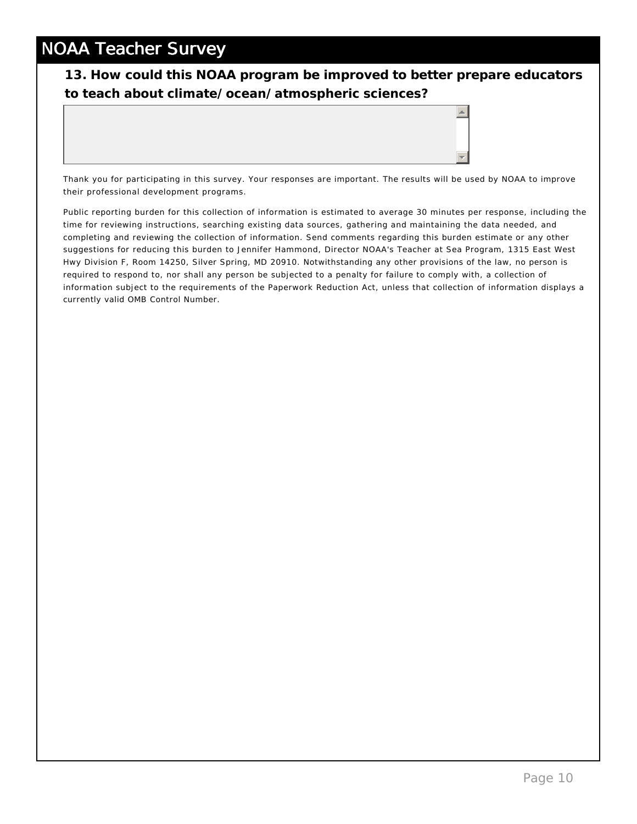**13. How could this NOAA program be improved to better prepare educators to teach about climate/ocean/atmospheric sciences?** 



Thank you for participating in this survey. Your responses are important. The results will be used by NOAA to improve their professional development programs.

Public reporting burden for this collection of information is estimated to average 30 minutes per response, including the time for reviewing instructions, searching existing data sources, gathering and maintaining the data needed, and completing and reviewing the collection of information. Send comments regarding this burden estimate or any other suggestions for reducing this burden to Jennifer Hammond, Director NOAA's Teacher at Sea Program, 1315 East West Hwy Division F, Room 14250, Silver Spring, MD 20910. Notwithstanding any other provisions of the law, no person is required to respond to, nor shall any person be subjected to a penalty for failure to comply with, a collection of information subject to the requirements of the Paperwork Reduction Act, unless that collection of information displays a currently valid OMB Control Number.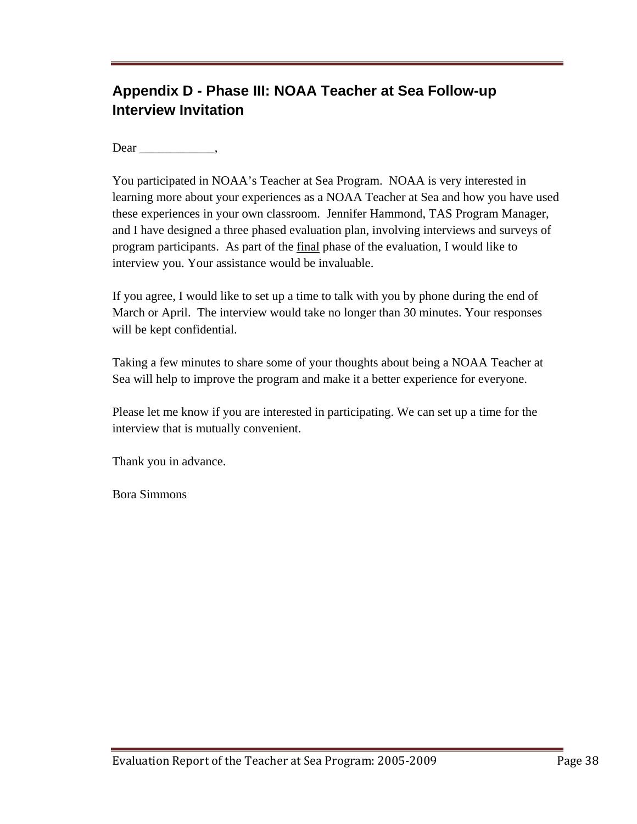# <span id="page-53-0"></span>**Appendix D - Phase III: NOAA Teacher at Sea Follow-up Interview Invitation**

 $Dear \_\_$ 

You participated in NOAA's Teacher at Sea Program. NOAA is very interested in learning more about your experiences as a NOAA Teacher at Sea and how you have used these experiences in your own classroom. Jennifer Hammond, TAS Program Manager, and I have designed a three phased evaluation plan, involving interviews and surveys of program participants. As part of the final phase of the evaluation, I would like to interview you. Your assistance would be invaluable.

If you agree, I would like to set up a time to talk with you by phone during the end of March or April. The interview would take no longer than 30 minutes. Your responses will be kept confidential.

Taking a few minutes to share some of your thoughts about being a NOAA Teacher at Sea will help to improve the program and make it a better experience for everyone.

Please let me know if you are interested in participating. We can set up a time for the interview that is mutually convenient.

Thank you in advance.

Bora Simmons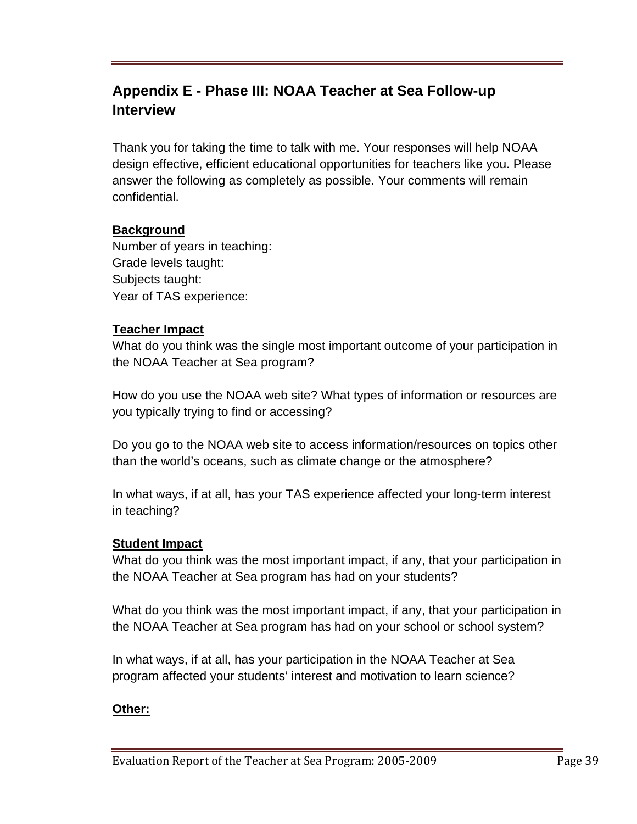# <span id="page-54-0"></span>**Appendix E - Phase III: NOAA Teacher at Sea Follow-up Interview**

Thank you for taking the time to talk with me. Your responses will help NOAA design effective, efficient educational opportunities for teachers like you. Please answer the following as completely as possible. Your comments will remain confidential.

#### **Background**

Number of years in teaching: Grade levels taught: Subjects taught: Year of TAS experience:

#### **Teacher Impact**

What do you think was the single most important outcome of your participation in the NOAA Teacher at Sea program?

How do you use the NOAA web site? What types of information or resources are you typically trying to find or accessing?

Do you go to the NOAA web site to access information/resources on topics other than the world's oceans, such as climate change or the atmosphere?

In what ways, if at all, has your TAS experience affected your long-term interest in teaching?

#### **Student Impact**

What do you think was the most important impact, if any, that your participation in the NOAA Teacher at Sea program has had on your students?

What do you think was the most important impact, if any, that your participation in the NOAA Teacher at Sea program has had on your school or school system?

In what ways, if at all, has your participation in the NOAA Teacher at Sea program affected your students' interest and motivation to learn science?

#### **Other:**